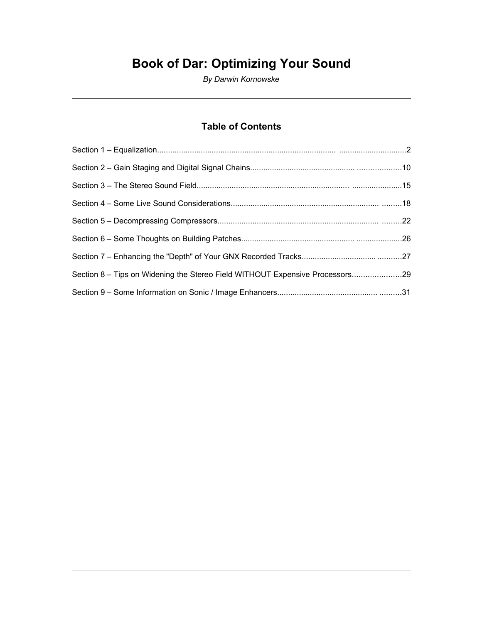# **Book of Dar: Optimizing Your Sound**

*By Darwin Kornowske*

# **Table of Contents**

| Section 8 - Tips on Widening the Stereo Field WITHOUT Expensive Processors29 |  |
|------------------------------------------------------------------------------|--|
|                                                                              |  |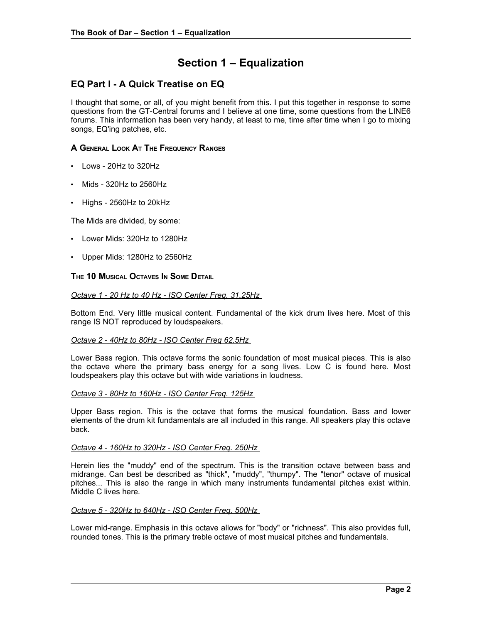# **Section 1 – Equalization**

# **EQ Part I - A Quick Treatise on EQ**

I thought that some, or all, of you might benefit from this. I put this together in response to some questions from the GT-Central forums and I believe at one time, some questions from the LINE6 forums. This information has been very handy, at least to me, time after time when I go to mixing songs, EQ'ing patches, etc.

### **A GENERAL LOOK A<sup>T</sup> THE FREQUENCY RANGES**

- Lows 20Hz to 320Hz
- Mids 320Hz to 2560Hz
- Highs 2560Hz to 20kHz

The Mids are divided, by some:

- Lower Mids: 320Hz to 1280Hz
- Upper Mids: 1280Hz to 2560Hz

### **THE 10 MUSICAL OCTAVES I<sup>N</sup> SOME DETAIL**

### *Octave 1 - 20 Hz to 40 Hz - ISO Center Freq. 31.25Hz*

Bottom End. Very little musical content. Fundamental of the kick drum lives here. Most of this range IS NOT reproduced by loudspeakers.

### *Octave 2 - 40Hz to 80Hz - ISO Center Freq 62.5Hz*

Lower Bass region. This octave forms the sonic foundation of most musical pieces. This is also the octave where the primary bass energy for a song lives. Low C is found here. Most loudspeakers play this octave but with wide variations in loudness.

### *Octave 3 - 80Hz to 160Hz - ISO Center Freq. 125Hz*

Upper Bass region. This is the octave that forms the musical foundation. Bass and lower elements of the drum kit fundamentals are all included in this range. All speakers play this octave back.

#### *Octave 4 - 160Hz to 320Hz - ISO Center Freq. 250Hz*

Herein lies the "muddy" end of the spectrum. This is the transition octave between bass and midrange. Can best be described as "thick", "muddy", "thumpy". The "tenor" octave of musical pitches... This is also the range in which many instruments fundamental pitches exist within. Middle C lives here.

### *Octave 5 - 320Hz to 640Hz - ISO Center Freq. 500Hz*

Lower mid-range. Emphasis in this octave allows for "body" or "richness". This also provides full, rounded tones. This is the primary treble octave of most musical pitches and fundamentals.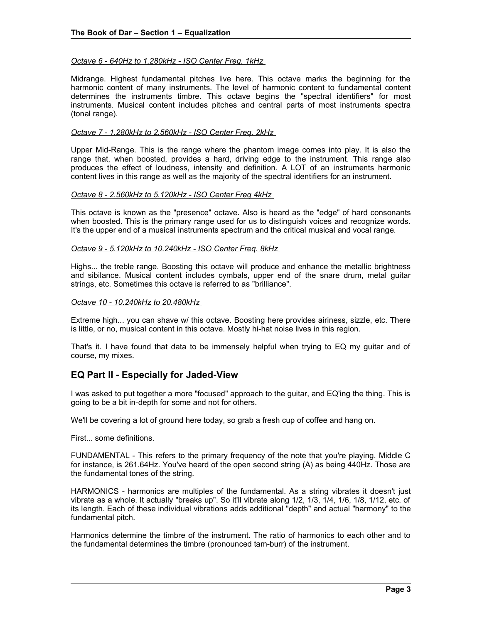### *Octave 6 - 640Hz to 1.280kHz - ISO Center Freq. 1kHz*

Midrange. Highest fundamental pitches live here. This octave marks the beginning for the harmonic content of many instruments. The level of harmonic content to fundamental content determines the instruments timbre. This octave begins the "spectral identifiers" for most instruments. Musical content includes pitches and central parts of most instruments spectra (tonal range).

#### *Octave 7 - 1.280kHz to 2.560kHz - ISO Center Freq. 2kHz*

Upper Mid-Range. This is the range where the phantom image comes into play. It is also the range that, when boosted, provides a hard, driving edge to the instrument. This range also produces the effect of loudness, intensity and definition. A LOT of an instruments harmonic content lives in this range as well as the majority of the spectral identifiers for an instrument.

#### *Octave 8 - 2.560kHz to 5.120kHz - ISO Center Freq 4kHz*

This octave is known as the "presence" octave. Also is heard as the "edge" of hard consonants when boosted. This is the primary range used for us to distinguish voices and recognize words. It's the upper end of a musical instruments spectrum and the critical musical and vocal range.

#### *Octave 9 - 5.120kHz to 10.240kHz - ISO Center Freq. 8kHz*

Highs... the treble range. Boosting this octave will produce and enhance the metallic brightness and sibilance. Musical content includes cymbals, upper end of the snare drum, metal guitar strings, etc. Sometimes this octave is referred to as "brilliance".

#### *Octave 10 - 10.240kHz to 20.480kHz*

Extreme high... you can shave w/ this octave. Boosting here provides airiness, sizzle, etc. There is little, or no, musical content in this octave. Mostly hi-hat noise lives in this region.

That's it. I have found that data to be immensely helpful when trying to EQ my guitar and of course, my mixes.

### **EQ Part II - Especially for Jaded-View**

I was asked to put together a more "focused" approach to the guitar, and EQ'ing the thing. This is going to be a bit in-depth for some and not for others.

We'll be covering a lot of ground here today, so grab a fresh cup of coffee and hang on.

First... some definitions.

FUNDAMENTAL - This refers to the primary frequency of the note that you're playing. Middle C for instance, is 261.64Hz. You've heard of the open second string (A) as being 440Hz. Those are the fundamental tones of the string.

HARMONICS - harmonics are multiples of the fundamental. As a string vibrates it doesn't just vibrate as a whole. It actually "breaks up". So it'll vibrate along 1/2, 1/3, 1/4, 1/6, 1/8, 1/12, etc. of its length. Each of these individual vibrations adds additional "depth" and actual "harmony" to the fundamental pitch.

Harmonics determine the timbre of the instrument. The ratio of harmonics to each other and to the fundamental determines the timbre (pronounced tam-burr) of the instrument.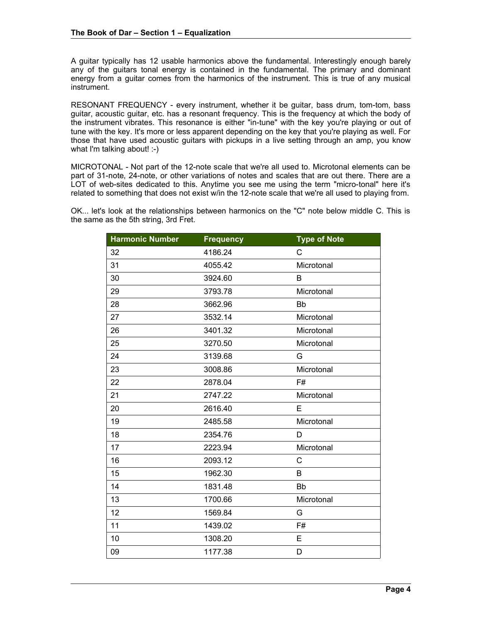A guitar typically has 12 usable harmonics above the fundamental. Interestingly enough barely any of the guitars tonal energy is contained in the fundamental. The primary and dominant energy from a guitar comes from the harmonics of the instrument. This is true of any musical instrument.

RESONANT FREQUENCY - every instrument, whether it be guitar, bass drum, tom-tom, bass guitar, acoustic guitar, etc. has a resonant frequency. This is the frequency at which the body of the instrument vibrates. This resonance is either "in-tune" with the key you're playing or out of tune with the key. It's more or less apparent depending on the key that you're playing as well. For those that have used acoustic guitars with pickups in a live setting through an amp, you know what I'm talking about! :-)

MICROTONAL - Not part of the 12-note scale that we're all used to. Microtonal elements can be part of 31-note, 24-note, or other variations of notes and scales that are out there. There are a LOT of web-sites dedicated to this. Anytime you see me using the term "micro-tonal" here it's related to something that does not exist w/in the 12-note scale that we're all used to playing from.

OK... let's look at the relationships between harmonics on the "C" note below middle C. This is the same as the 5th string, 3rd Fret.

| <b>Harmonic Number</b> | <b>Frequency</b> | <b>Type of Note</b> |
|------------------------|------------------|---------------------|
| 32                     | 4186.24          | C                   |
| 31                     | 4055.42          | Microtonal          |
| 30                     | 3924.60          | B                   |
| 29                     | 3793.78          | Microtonal          |
| 28                     | 3662.96          | <b>Bb</b>           |
| 27                     | 3532.14          | Microtonal          |
| 26                     | 3401.32          | Microtonal          |
| 25                     | 3270.50          | Microtonal          |
| 24                     | 3139.68          | G                   |
| 23                     | 3008.86          | Microtonal          |
| 22                     | 2878.04          | F#                  |
| 21                     | 2747.22          | Microtonal          |
| 20                     | 2616.40          | E                   |
| 19                     | 2485.58          | Microtonal          |
| 18                     | 2354.76          | D                   |
| 17                     | 2223.94          | Microtonal          |
| 16                     | 2093.12          | C                   |
| 15                     | 1962.30          | B                   |
| 14                     | 1831.48          | <b>Bb</b>           |
| 13                     | 1700.66          | Microtonal          |
| 12                     | 1569.84          | G                   |
| 11                     | 1439.02          | F#                  |
| 10                     | 1308.20          | E                   |
| 09                     | 1177.38          | D                   |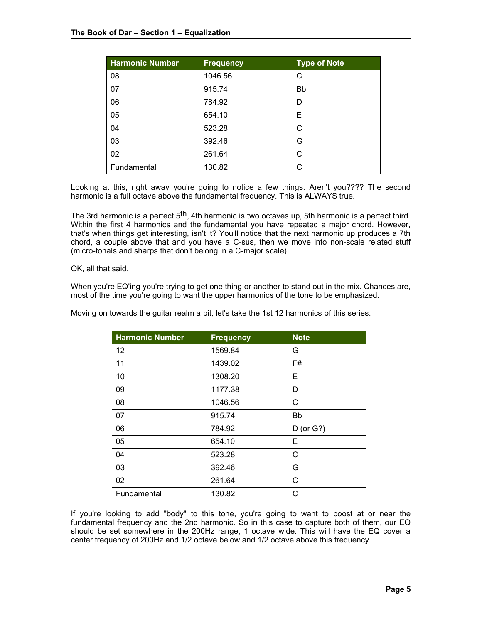| <b>Harmonic Number</b> | <b>Frequency</b> | <b>Type of Note</b> |
|------------------------|------------------|---------------------|
| 08                     | 1046.56          | C                   |
| 07                     | 915.74           | Bb                  |
| 06                     | 784.92           | D                   |
| 05                     | 654.10           | E                   |
| 04                     | 523.28           | C                   |
| 03                     | 392.46           | G                   |
| 02                     | 261.64           | C                   |
| Fundamental            | 130.82           | C                   |

Looking at this, right away you're going to notice a few things. Aren't you???? The second harmonic is a full octave above the fundamental frequency. This is ALWAYS true.

The 3rd harmonic is a perfect 5<sup>th</sup>, 4th harmonic is two octaves up, 5th harmonic is a perfect third. Within the first 4 harmonics and the fundamental you have repeated a major chord. However, that's when things get interesting, isn't it? You'll notice that the next harmonic up produces a 7th chord, a couple above that and you have a C-sus, then we move into non-scale related stuff (micro-tonals and sharps that don't belong in a C-major scale).

OK, all that said.

When you're EQ'ing you're trying to get one thing or another to stand out in the mix. Chances are, most of the time you're going to want the upper harmonics of the tone to be emphasized.

Moving on towards the guitar realm a bit, let's take the 1st 12 harmonics of this series.

| <b>Harmonic Number</b> | <b>Frequency</b> | <b>Note</b>    |
|------------------------|------------------|----------------|
| 12                     | 1569.84          | G              |
| 11                     | 1439.02          | F#             |
| 10                     | 1308.20          | Е              |
| 09                     | 1177.38          | D              |
| 08                     | 1046.56          | С              |
| 07                     | 915.74           | Bb             |
| 06                     | 784.92           | $D$ (or $G$ ?) |
| 05                     | 654.10           | Е              |
| 04                     | 523.28           | С              |
| 03                     | 392.46           | G              |
| 02                     | 261.64           | C              |
| Fundamental            | 130.82           | С              |

If you're looking to add "body" to this tone, you're going to want to boost at or near the fundamental frequency and the 2nd harmonic. So in this case to capture both of them, our EQ should be set somewhere in the 200Hz range, 1 octave wide. This will have the EQ cover a center frequency of 200Hz and 1/2 octave below and 1/2 octave above this frequency.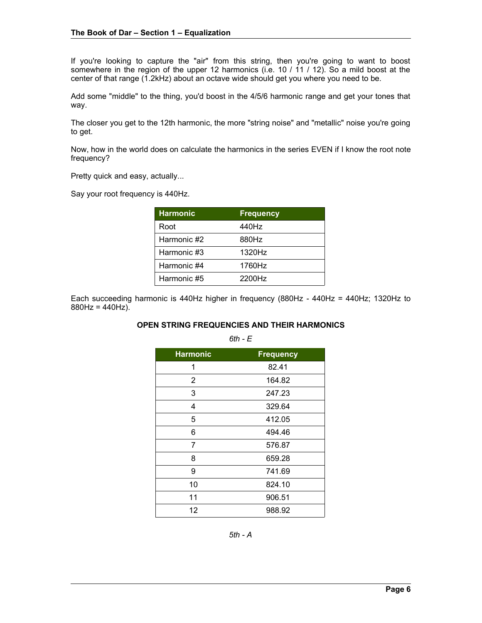If you're looking to capture the "air" from this string, then you're going to want to boost somewhere in the region of the upper 12 harmonics (i.e. 10 / 11 / 12). So a mild boost at the center of that range (1.2kHz) about an octave wide should get you where you need to be.

Add some "middle" to the thing, you'd boost in the 4/5/6 harmonic range and get your tones that way.

The closer you get to the 12th harmonic, the more "string noise" and "metallic" noise you're going to get.

Now, how in the world does on calculate the harmonics in the series EVEN if I know the root note frequency?

Pretty quick and easy, actually...

Say your root frequency is 440Hz.

| <b>Harmonic</b> | <b>Frequency</b> |
|-----------------|------------------|
| Root            | 440Hz            |
| Harmonic #2     | 880Hz            |
| Harmonic #3     | 1320Hz           |
| Harmonic #4     | 1760Hz           |
| Harmonic #5     | 2200Hz           |

Each succeeding harmonic is 440Hz higher in frequency (880Hz - 440Hz = 440Hz; 1320Hz to  $880Hz = 440Hz$ ).

### **OPEN STRING FREQUENCIES AND THEIR HARMONICS**

*6th - E*

| <b>Harmonic</b> | <b>Frequency</b> |
|-----------------|------------------|
| 1               | 82.41            |
| 2               | 164.82           |
| 3               | 247.23           |
| 4               | 329.64           |
| 5               | 412.05           |
| 6               | 494.46           |
| 7               | 576.87           |
| 8               | 659.28           |
| 9               | 741.69           |
| 10              | 824.10           |
| 11              | 906.51           |
| 12              | 988.92           |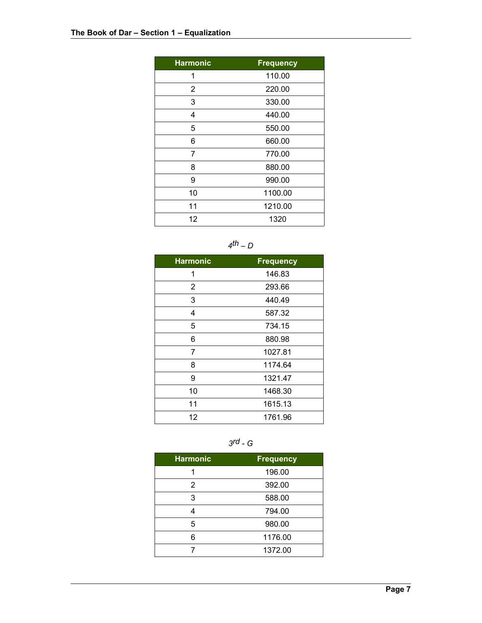| <b>Harmonic</b> | <b>Frequency</b> |
|-----------------|------------------|
| 1               | 110.00           |
| 2               | 220.00           |
| 3               | 330.00           |
| 4               | 440.00           |
| 5               | 550.00           |
| 6               | 660.00           |
| 7               | 770.00           |
| 8               | 880.00           |
| 9               | 990.00           |
| 10              | 1100.00          |
| 11              | 1210.00          |
| 12              | 1320             |

*4th – D*

| <b>Harmonic</b> | <b>Frequency</b> |
|-----------------|------------------|
| 1               | 146.83           |
| 2               | 293.66           |
| 3               | 440.49           |
| 4               | 587.32           |
| 5               | 734.15           |
| 6               | 880.98           |
| 7               | 1027.81          |
| 8               | 1174.64          |
| 9               | 1321.47          |
| 10              | 1468.30          |
| 11              | 1615.13          |
| 12              | 1761.96          |



| <b>Harmonic</b> | <b>Frequency</b> |
|-----------------|------------------|
|                 | 196.00           |
| 2               | 392.00           |
| 3               | 588.00           |
|                 | 794.00           |
| 5               | 980.00           |
| ี่ค             | 1176.00          |
|                 | 1372.00          |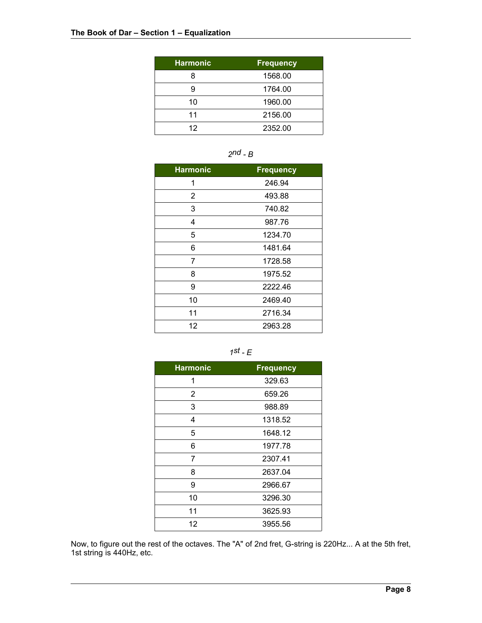| <b>Harmonic</b> | <b>Frequency</b> |
|-----------------|------------------|
| 8               | 1568.00          |
| 9               | 1764.00          |
| 10              | 1960.00          |
| 11              | 2156.00          |
| 12              | 2352.00          |



| <b>Harmonic</b> | <b>Frequency</b> |
|-----------------|------------------|
| 1               | 246.94           |
| 2               | 493.88           |
| 3               | 740.82           |
| 4               | 987.76           |
| 5               | 1234.70          |
| 6               | 1481.64          |
| 7               | 1728.58          |
| 8               | 1975.52          |
| 9               | 2222.46          |
| 10              | 2469.40          |
| 11              | 2716.34          |
| 12              | 2963.28          |



| <b>Harmonic</b> | <b>Frequency</b> |
|-----------------|------------------|
| 1               | 329.63           |
| 2               | 659.26           |
| 3               | 988.89           |
| 4               | 1318.52          |
| 5               | 1648.12          |
| 6               | 1977.78          |
| 7               | 2307.41          |
| 8               | 2637.04          |
| 9               | 2966.67          |
| 10              | 3296.30          |
| 11              | 3625.93          |
| 12              | 3955.56          |

Now, to figure out the rest of the octaves. The "A" of 2nd fret, G-string is 220Hz... A at the 5th fret, 1st string is 440Hz, etc.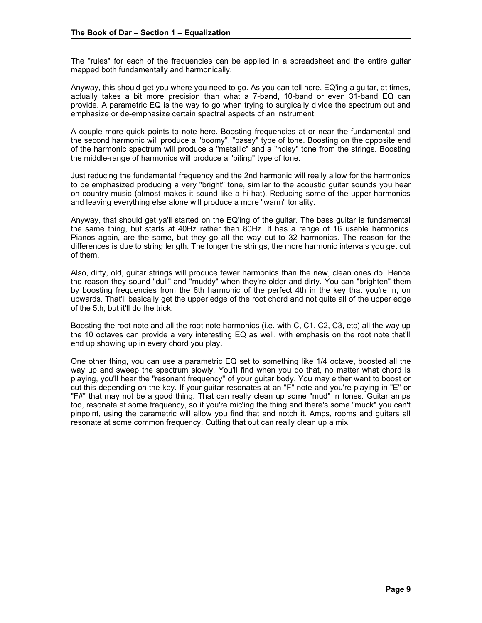The "rules" for each of the frequencies can be applied in a spreadsheet and the entire guitar mapped both fundamentally and harmonically.

Anyway, this should get you where you need to go. As you can tell here, EQ'ing a guitar, at times, actually takes a bit more precision than what a 7-band, 10-band or even 31-band EQ can provide. A parametric EQ is the way to go when trying to surgically divide the spectrum out and emphasize or de-emphasize certain spectral aspects of an instrument.

A couple more quick points to note here. Boosting frequencies at or near the fundamental and the second harmonic will produce a "boomy", "bassy" type of tone. Boosting on the opposite end of the harmonic spectrum will produce a "metallic" and a "noisy" tone from the strings. Boosting the middle-range of harmonics will produce a "biting" type of tone.

Just reducing the fundamental frequency and the 2nd harmonic will really allow for the harmonics to be emphasized producing a very "bright" tone, similar to the acoustic guitar sounds you hear on country music (almost makes it sound like a hi-hat). Reducing some of the upper harmonics and leaving everything else alone will produce a more "warm" tonality.

Anyway, that should get ya'll started on the EQ'ing of the guitar. The bass guitar is fundamental the same thing, but starts at 40Hz rather than 80Hz. It has a range of 16 usable harmonics. Pianos again, are the same, but they go all the way out to 32 harmonics. The reason for the differences is due to string length. The longer the strings, the more harmonic intervals you get out of them.

Also, dirty, old, guitar strings will produce fewer harmonics than the new, clean ones do. Hence the reason they sound "dull" and "muddy" when they're older and dirty. You can "brighten" them by boosting frequencies from the 6th harmonic of the perfect 4th in the key that you're in, on upwards. That'll basically get the upper edge of the root chord and not quite all of the upper edge of the 5th, but it'll do the trick.

Boosting the root note and all the root note harmonics (i.e. with C, C1, C2, C3, etc) all the way up the 10 octaves can provide a very interesting EQ as well, with emphasis on the root note that'll end up showing up in every chord you play.

One other thing, you can use a parametric EQ set to something like 1/4 octave, boosted all the way up and sweep the spectrum slowly. You'll find when you do that, no matter what chord is playing, you'll hear the "resonant frequency" of your guitar body. You may either want to boost or cut this depending on the key. If your guitar resonates at an "F" note and you're playing in "E" or "F#" that may not be a good thing. That can really clean up some "mud" in tones. Guitar amps too, resonate at some frequency, so if you're mic'ing the thing and there's some "muck" you can't pinpoint, using the parametric will allow you find that and notch it. Amps, rooms and guitars all resonate at some common frequency. Cutting that out can really clean up a mix.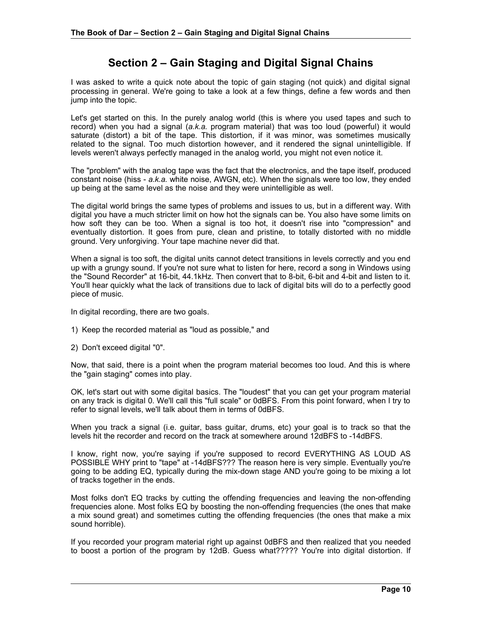# **Section 2 – Gain Staging and Digital Signal Chains**

I was asked to write a quick note about the topic of gain staging (not quick) and digital signal processing in general. We're going to take a look at a few things, define a few words and then jump into the topic.

Let's get started on this. In the purely analog world (this is where you used tapes and such to record) when you had a signal (*a.k.a.* program material) that was too loud (powerful) it would saturate (distort) a bit of the tape. This distortion, if it was minor, was sometimes musically related to the signal. Too much distortion however, and it rendered the signal unintelligible. If levels weren't always perfectly managed in the analog world, you might not even notice it.

The "problem" with the analog tape was the fact that the electronics, and the tape itself, produced constant noise (hiss - *a.k.a.* white noise, AWGN, etc). When the signals were too low, they ended up being at the same level as the noise and they were unintelligible as well.

The digital world brings the same types of problems and issues to us, but in a different way. With digital you have a much stricter limit on how hot the signals can be. You also have some limits on how soft they can be too. When a signal is too hot, it doesn't rise into "compression" and eventually distortion. It goes from pure, clean and pristine, to totally distorted with no middle ground. Very unforgiving. Your tape machine never did that.

When a signal is too soft, the digital units cannot detect transitions in levels correctly and you end up with a grungy sound. If you're not sure what to listen for here, record a song in Windows using the "Sound Recorder" at 16-bit, 44.1kHz. Then convert that to 8-bit, 6-bit and 4-bit and listen to it. You'll hear quickly what the lack of transitions due to lack of digital bits will do to a perfectly good piece of music.

In digital recording, there are two goals.

- 1) Keep the recorded material as "loud as possible," and
- 2) Don't exceed digital "0".

Now, that said, there is a point when the program material becomes too loud. And this is where the "gain staging" comes into play.

OK, let's start out with some digital basics. The "loudest" that you can get your program material on any track is digital 0. We'll call this "full scale" or 0dBFS. From this point forward, when I try to refer to signal levels, we'll talk about them in terms of 0dBFS.

When you track a signal (i.e. guitar, bass guitar, drums, etc) your goal is to track so that the levels hit the recorder and record on the track at somewhere around 12dBFS to -14dBFS.

I know, right now, you're saying if you're supposed to record EVERYTHING AS LOUD AS POSSIBLE WHY print to "tape" at -14dBFS??? The reason here is very simple. Eventually you're going to be adding EQ, typically during the mix-down stage AND you're going to be mixing a lot of tracks together in the ends.

Most folks don't EQ tracks by cutting the offending frequencies and leaving the non-offending frequencies alone. Most folks EQ by boosting the non-offending frequencies (the ones that make a mix sound great) and sometimes cutting the offending frequencies (the ones that make a mix sound horrible).

If you recorded your program material right up against 0dBFS and then realized that you needed to boost a portion of the program by 12dB. Guess what????? You're into digital distortion. If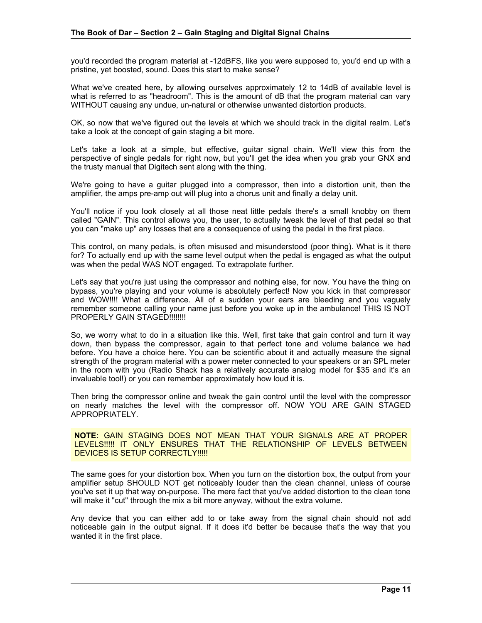you'd recorded the program material at -12dBFS, like you were supposed to, you'd end up with a pristine, yet boosted, sound. Does this start to make sense?

What we've created here, by allowing ourselves approximately 12 to 14dB of available level is what is referred to as "headroom". This is the amount of dB that the program material can vary WITHOUT causing any undue, un-natural or otherwise unwanted distortion products.

OK, so now that we've figured out the levels at which we should track in the digital realm. Let's take a look at the concept of gain staging a bit more.

Let's take a look at a simple, but effective, guitar signal chain. We'll view this from the perspective of single pedals for right now, but you'll get the idea when you grab your GNX and the trusty manual that Digitech sent along with the thing.

We're going to have a guitar plugged into a compressor, then into a distortion unit, then the amplifier, the amps pre-amp out will plug into a chorus unit and finally a delay unit.

You'll notice if you look closely at all those neat little pedals there's a small knobby on them called "GAIN". This control allows you, the user, to actually tweak the level of that pedal so that you can "make up" any losses that are a consequence of using the pedal in the first place.

This control, on many pedals, is often misused and misunderstood (poor thing). What is it there for? To actually end up with the same level output when the pedal is engaged as what the output was when the pedal WAS NOT engaged. To extrapolate further.

Let's say that you're just using the compressor and nothing else, for now. You have the thing on bypass, you're playing and your volume is absolutely perfect! Now you kick in that compressor and WOW!!!! What a difference. All of a sudden your ears are bleeding and you vaguely remember someone calling your name just before you woke up in the ambulance! THIS IS NOT PROPERLY GAIN STAGED!!!!!!!!

So, we worry what to do in a situation like this. Well, first take that gain control and turn it way down, then bypass the compressor, again to that perfect tone and volume balance we had before. You have a choice here. You can be scientific about it and actually measure the signal strength of the program material with a power meter connected to your speakers or an SPL meter in the room with you (Radio Shack has a relatively accurate analog model for \$35 and it's an invaluable tool!) or you can remember approximately how loud it is.

Then bring the compressor online and tweak the gain control until the level with the compressor on nearly matches the level with the compressor off. NOW YOU ARE GAIN STAGED APPROPRIATELY.

### **NOTE:** GAIN STAGING DOES NOT MEAN THAT YOUR SIGNALS ARE AT PROPER LEVELS!!!!! IT ONLY ENSURES THAT THE RELATIONSHIP OF LEVELS BETWEEN DEVICES IS SETUP CORRECTLY !!!!!

The same goes for your distortion box. When you turn on the distortion box, the output from your amplifier setup SHOULD NOT get noticeably louder than the clean channel, unless of course you've set it up that way on-purpose. The mere fact that you've added distortion to the clean tone will make it "cut" through the mix a bit more anyway, without the extra volume.

Any device that you can either add to or take away from the signal chain should not add noticeable gain in the output signal. If it does it'd better be because that's the way that you wanted it in the first place.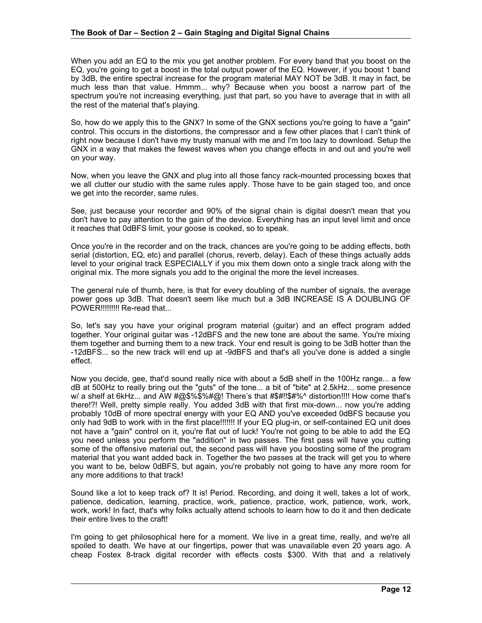When you add an EQ to the mix you get another problem. For every band that you boost on the EQ, you're going to get a boost in the total output power of the EQ. However, if you boost 1 band by 3dB, the entire spectral increase for the program material MAY NOT be 3dB. It may in fact, be much less than that value. Hmmm... why? Because when you boost a narrow part of the spectrum you're not increasing everything, just that part, so you have to average that in with all the rest of the material that's playing.

So, how do we apply this to the GNX? In some of the GNX sections you're going to have a "gain" control. This occurs in the distortions, the compressor and a few other places that I can't think of right now because I don't have my trusty manual with me and I'm too lazy to download. Setup the GNX in a way that makes the fewest waves when you change effects in and out and you're well on your way.

Now, when you leave the GNX and plug into all those fancy rack-mounted processing boxes that we all clutter our studio with the same rules apply. Those have to be gain staged too, and once we get into the recorder, same rules.

See, just because your recorder and 90% of the signal chain is digital doesn't mean that you don't have to pay attention to the gain of the device. Everything has an input level limit and once it reaches that 0dBFS limit, your goose is cooked, so to speak.

Once you're in the recorder and on the track, chances are you're going to be adding effects, both serial (distortion, EQ, etc) and parallel (chorus, reverb, delay). Each of these things actually adds level to your original track ESPECIALLY if you mix them down onto a single track along with the original mix. The more signals you add to the original the more the level increases.

The general rule of thumb, here, is that for every doubling of the number of signals, the average power goes up 3dB. That doesn't seem like much but a 3dB INCREASE IS A DOUBLING OF POWER!!!!!!!!! Re-read that...

So, let's say you have your original program material (guitar) and an effect program added together. Your original guitar was -12dBFS and the new tone are about the same. You're mixing them together and burning them to a new track. Your end result is going to be 3dB hotter than the -12dBFS... so the new track will end up at -9dBFS and that's all you've done is added a single effect.

Now you decide, gee, that'd sound really nice with about a 5dB shelf in the 100Hz range... a few dB at 500Hz to really bring out the "guts" of the tone... a bit of "bite" at 2.5kHz... some presence w/ a shelf at 6kHz... and AW #@\$%\$%#@! There's that #\$#!!\$#%^ distortion!!!! How come that's there!?! Well, pretty simple really. You added 3dB with that first mix-down... now you're adding probably 10dB of more spectral energy with your EQ AND you've exceeded 0dBFS because you only had 9dB to work with in the first place!!!!!!! If your EQ plug-in, or self-contained EQ unit does not have a "gain" control on it, you're flat out of luck! You're not going to be able to add the EQ you need unless you perform the "addition" in two passes. The first pass will have you cutting some of the offensive material out, the second pass will have you boosting some of the program material that you want added back in. Together the two passes at the track will get you to where you want to be, below 0dBFS, but again, you're probably not going to have any more room for any more additions to that track!

Sound like a lot to keep track of? It is! Period. Recording, and doing it well, takes a lot of work, patience, dedication, learning, practice, work, patience, practice, work, patience, work, work, work, work! In fact, that's why folks actually attend schools to learn how to do it and then dedicate their entire lives to the craft!

I'm going to get philosophical here for a moment. We live in a great time, really, and we're all spoiled to death. We have at our fingertips, power that was unavailable even 20 years ago. A cheap Fostex 8-track digital recorder with effects costs \$300. With that and a relatively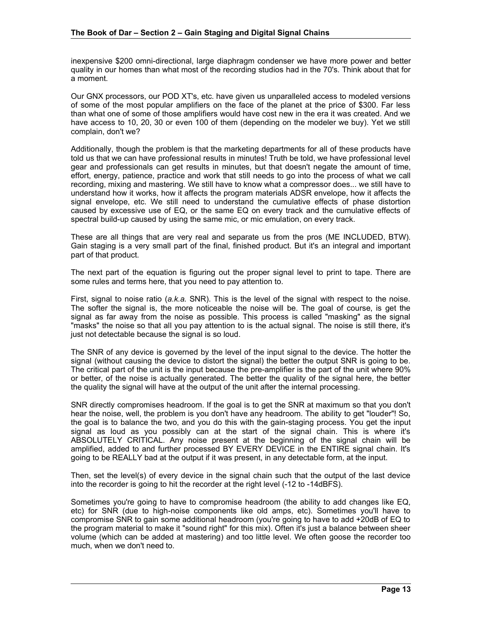inexpensive \$200 omni-directional, large diaphragm condenser we have more power and better quality in our homes than what most of the recording studios had in the 70's. Think about that for a moment.

Our GNX processors, our POD XT's, etc. have given us unparalleled access to modeled versions of some of the most popular amplifiers on the face of the planet at the price of \$300. Far less than what one of some of those amplifiers would have cost new in the era it was created. And we have access to 10, 20, 30 or even 100 of them (depending on the modeler we buy). Yet we still complain, don't we?

Additionally, though the problem is that the marketing departments for all of these products have told us that we can have professional results in minutes! Truth be told, we have professional level gear and professionals can get results in minutes, but that doesn't negate the amount of time, effort, energy, patience, practice and work that still needs to go into the process of what we call recording, mixing and mastering. We still have to know what a compressor does... we still have to understand how it works, how it affects the program materials ADSR envelope, how it affects the signal envelope, etc. We still need to understand the cumulative effects of phase distortion caused by excessive use of EQ, or the same EQ on every track and the cumulative effects of spectral build-up caused by using the same mic, or mic emulation, on every track.

These are all things that are very real and separate us from the pros (ME INCLUDED, BTW). Gain staging is a very small part of the final, finished product. But it's an integral and important part of that product.

The next part of the equation is figuring out the proper signal level to print to tape. There are some rules and terms here, that you need to pay attention to.

First, signal to noise ratio (*a.k.a.* SNR). This is the level of the signal with respect to the noise. The softer the signal is, the more noticeable the noise will be. The goal of course, is get the signal as far away from the noise as possible. This process is called "masking" as the signal "masks" the noise so that all you pay attention to is the actual signal. The noise is still there, it's just not detectable because the signal is so loud.

The SNR of any device is governed by the level of the input signal to the device. The hotter the signal (without causing the device to distort the signal) the better the output SNR is going to be. The critical part of the unit is the input because the pre-amplifier is the part of the unit where 90% or better, of the noise is actually generated. The better the quality of the signal here, the better the quality the signal will have at the output of the unit after the internal processing.

SNR directly compromises headroom. If the goal is to get the SNR at maximum so that you don't hear the noise, well, the problem is you don't have any headroom. The ability to get "louder"! So, the goal is to balance the two, and you do this with the gain-staging process. You get the input signal as loud as you possibly can at the start of the signal chain. This is where it's ABSOLUTELY CRITICAL. Any noise present at the beginning of the signal chain will be amplified, added to and further processed BY EVERY DEVICE in the ENTIRE signal chain. It's going to be REALLY bad at the output if it was present, in any detectable form, at the input.

Then, set the level(s) of every device in the signal chain such that the output of the last device into the recorder is going to hit the recorder at the right level (-12 to -14dBFS).

Sometimes you're going to have to compromise headroom (the ability to add changes like EQ, etc) for SNR (due to high-noise components like old amps, etc). Sometimes you'll have to compromise SNR to gain some additional headroom (you're going to have to add +20dB of EQ to the program material to make it "sound right" for this mix). Often it's just a balance between sheer volume (which can be added at mastering) and too little level. We often goose the recorder too much, when we don't need to.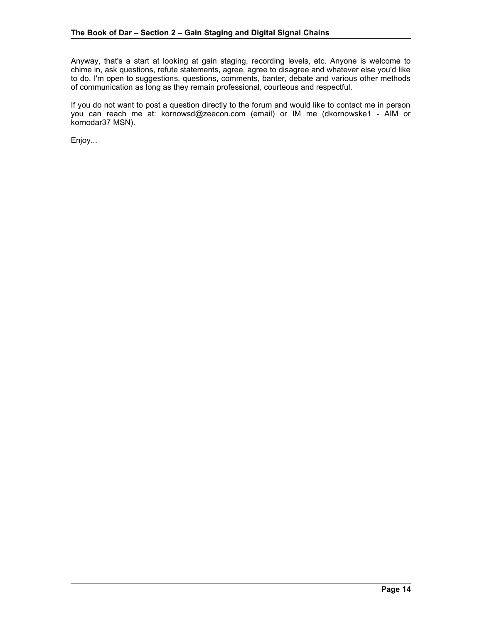Anyway, that's a start at looking at gain staging, recording levels, etc. Anyone is welcome to chime in, ask questions, refute statements, agree, agree to disagree and whatever else you'd like to do. I'm open to suggestions, questions, comments, banter, debate and various other methods of communication as long as they remain professional, courteous and respectful.

If you do not want to post a question directly to the forum and would like to contact me in person you can reach me at: kornowsd@zeecon.com (email) or IM me (dkornowske1 - AIM or kornodar37 MSN).

Enjoy...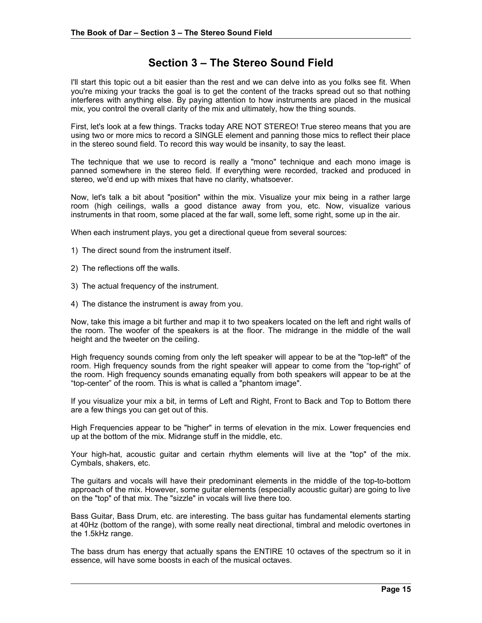# **Section 3 – The Stereo Sound Field**

I'll start this topic out a bit easier than the rest and we can delve into as you folks see fit. When you're mixing your tracks the goal is to get the content of the tracks spread out so that nothing interferes with anything else. By paying attention to how instruments are placed in the musical mix, you control the overall clarity of the mix and ultimately, how the thing sounds.

First, let's look at a few things. Tracks today ARE NOT STEREO! True stereo means that you are using two or more mics to record a SINGLE element and panning those mics to reflect their place in the stereo sound field. To record this way would be insanity, to say the least.

The technique that we use to record is really a "mono" technique and each mono image is panned somewhere in the stereo field. If everything were recorded, tracked and produced in stereo, we'd end up with mixes that have no clarity, whatsoever.

Now, let's talk a bit about "position" within the mix. Visualize your mix being in a rather large room (high ceilings, walls a good distance away from you, etc. Now, visualize various instruments in that room, some placed at the far wall, some left, some right, some up in the air.

When each instrument plays, you get a directional queue from several sources:

- 1) The direct sound from the instrument itself.
- 2) The reflections off the walls.
- 3) The actual frequency of the instrument.
- 4) The distance the instrument is away from you.

Now, take this image a bit further and map it to two speakers located on the left and right walls of the room. The woofer of the speakers is at the floor. The midrange in the middle of the wall height and the tweeter on the ceiling.

High frequency sounds coming from only the left speaker will appear to be at the "top-left" of the room. High frequency sounds from the right speaker will appear to come from the "top-right" of the room. High frequency sounds emanating equally from both speakers will appear to be at the "top-center" of the room. This is what is called a "phantom image".

If you visualize your mix a bit, in terms of Left and Right, Front to Back and Top to Bottom there are a few things you can get out of this.

High Frequencies appear to be "higher" in terms of elevation in the mix. Lower frequencies end up at the bottom of the mix. Midrange stuff in the middle, etc.

Your high-hat, acoustic guitar and certain rhythm elements will live at the "top" of the mix. Cymbals, shakers, etc.

The guitars and vocals will have their predominant elements in the middle of the top-to-bottom approach of the mix. However, some guitar elements (especially acoustic guitar) are going to live on the "top" of that mix. The "sizzle" in vocals will live there too.

Bass Guitar, Bass Drum, etc. are interesting. The bass guitar has fundamental elements starting at 40Hz (bottom of the range), with some really neat directional, timbral and melodic overtones in the 1.5kHz range.

The bass drum has energy that actually spans the ENTIRE 10 octaves of the spectrum so it in essence, will have some boosts in each of the musical octaves.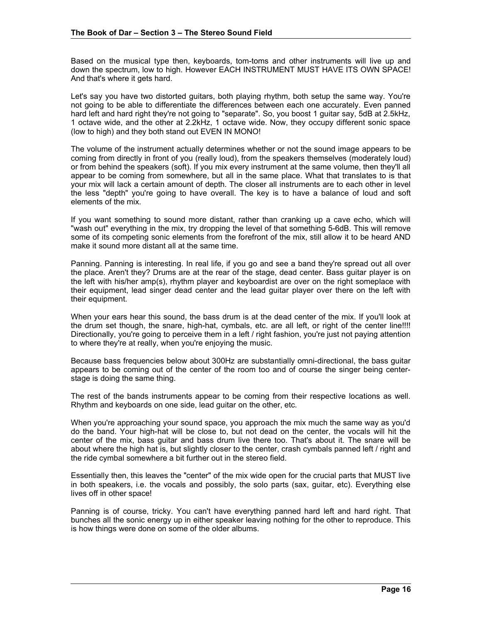Based on the musical type then, keyboards, tom-toms and other instruments will live up and down the spectrum, low to high. However EACH INSTRUMENT MUST HAVE ITS OWN SPACE! And that's where it gets hard.

Let's say you have two distorted guitars, both playing rhythm, both setup the same way. You're not going to be able to differentiate the differences between each one accurately. Even panned hard left and hard right they're not going to "separate". So, you boost 1 guitar say, 5dB at 2.5kHz, 1 octave wide, and the other at 2.2kHz, 1 octave wide. Now, they occupy different sonic space (low to high) and they both stand out EVEN IN MONO!

The volume of the instrument actually determines whether or not the sound image appears to be coming from directly in front of you (really loud), from the speakers themselves (moderately loud) or from behind the speakers (soft). If you mix every instrument at the same volume, then they'll all appear to be coming from somewhere, but all in the same place. What that translates to is that your mix will lack a certain amount of depth. The closer all instruments are to each other in level the less "depth" you're going to have overall. The key is to have a balance of loud and soft elements of the mix.

If you want something to sound more distant, rather than cranking up a cave echo, which will "wash out" everything in the mix, try dropping the level of that something 5-6dB. This will remove some of its competing sonic elements from the forefront of the mix, still allow it to be heard AND make it sound more distant all at the same time.

Panning. Panning is interesting. In real life, if you go and see a band they're spread out all over the place. Aren't they? Drums are at the rear of the stage, dead center. Bass guitar player is on the left with his/her amp(s), rhythm player and keyboardist are over on the right someplace with their equipment, lead singer dead center and the lead guitar player over there on the left with their equipment.

When your ears hear this sound, the bass drum is at the dead center of the mix. If you'll look at the drum set though, the snare, high-hat, cymbals, etc. are all left, or right of the center line!!!! Directionally, you're going to perceive them in a left / right fashion, you're just not paying attention to where they're at really, when you're enjoying the music.

Because bass frequencies below about 300Hz are substantially omni-directional, the bass guitar appears to be coming out of the center of the room too and of course the singer being centerstage is doing the same thing.

The rest of the bands instruments appear to be coming from their respective locations as well. Rhythm and keyboards on one side, lead guitar on the other, etc.

When you're approaching your sound space, you approach the mix much the same way as you'd do the band. Your high-hat will be close to, but not dead on the center, the vocals will hit the center of the mix, bass guitar and bass drum live there too. That's about it. The snare will be about where the high hat is, but slightly closer to the center, crash cymbals panned left / right and the ride cymbal somewhere a bit further out in the stereo field.

Essentially then, this leaves the "center" of the mix wide open for the crucial parts that MUST live in both speakers, i.e. the vocals and possibly, the solo parts (sax, guitar, etc). Everything else lives off in other space!

Panning is of course, tricky. You can't have everything panned hard left and hard right. That bunches all the sonic energy up in either speaker leaving nothing for the other to reproduce. This is how things were done on some of the older albums.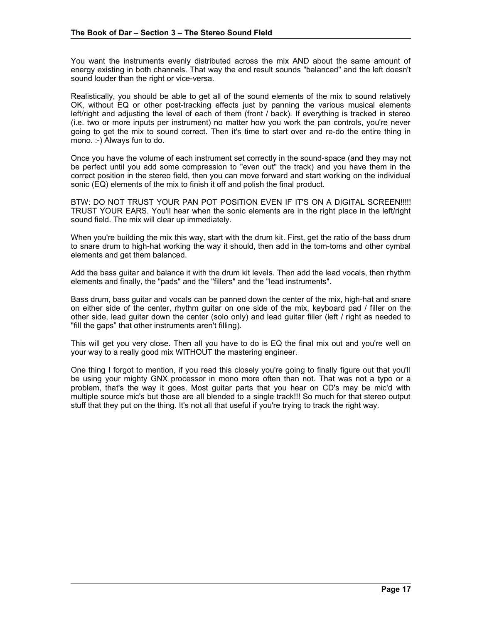You want the instruments evenly distributed across the mix AND about the same amount of energy existing in both channels. That way the end result sounds "balanced" and the left doesn't sound louder than the right or vice-versa.

Realistically, you should be able to get all of the sound elements of the mix to sound relatively OK, without EQ or other post-tracking effects just by panning the various musical elements left/right and adjusting the level of each of them (front / back). If everything is tracked in stereo (i.e. two or more inputs per instrument) no matter how you work the pan controls, you're never going to get the mix to sound correct. Then it's time to start over and re-do the entire thing in mono. :-) Always fun to do.

Once you have the volume of each instrument set correctly in the sound-space (and they may not be perfect until you add some compression to "even out" the track) and you have them in the correct position in the stereo field, then you can move forward and start working on the individual sonic (EQ) elements of the mix to finish it off and polish the final product.

BTW: DO NOT TRUST YOUR PAN POT POSITION EVEN IF IT'S ON A DIGITAL SCREEN!!!!! TRUST YOUR EARS. You'll hear when the sonic elements are in the right place in the left/right sound field. The mix will clear up immediately.

When you're building the mix this way, start with the drum kit. First, get the ratio of the bass drum to snare drum to high-hat working the way it should, then add in the tom-toms and other cymbal elements and get them balanced.

Add the bass guitar and balance it with the drum kit levels. Then add the lead vocals, then rhythm elements and finally, the "pads" and the "fillers" and the "lead instruments".

Bass drum, bass guitar and vocals can be panned down the center of the mix, high-hat and snare on either side of the center, rhythm guitar on one side of the mix, keyboard pad / filler on the other side, lead guitar down the center (solo only) and lead guitar filler (left / right as needed to "fill the gaps" that other instruments aren't filling).

This will get you very close. Then all you have to do is EQ the final mix out and you're well on your way to a really good mix WITHOUT the mastering engineer.

One thing I forgot to mention, if you read this closely you're going to finally figure out that you'll be using your mighty GNX processor in mono more often than not. That was not a typo or a problem, that's the way it goes. Most guitar parts that you hear on CD's may be mic'd with multiple source mic's but those are all blended to a single track!!! So much for that stereo output stuff that they put on the thing. It's not all that useful if you're trying to track the right way.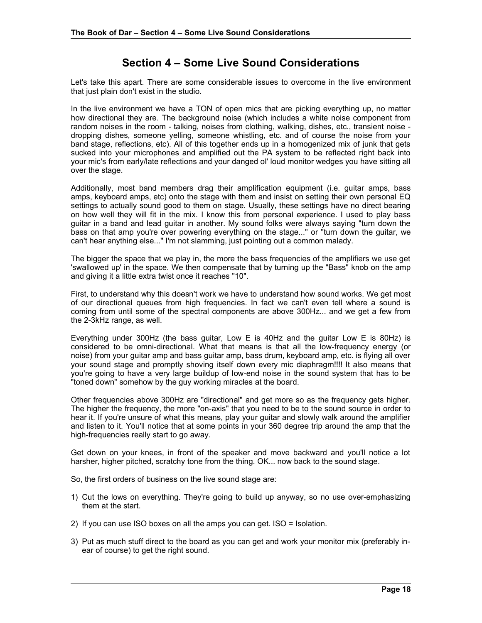# **Section 4 – Some Live Sound Considerations**

Let's take this apart. There are some considerable issues to overcome in the live environment that just plain don't exist in the studio.

In the live environment we have a TON of open mics that are picking everything up, no matter how directional they are. The background noise (which includes a white noise component from random noises in the room - talking, noises from clothing, walking, dishes, etc., transient noise dropping dishes, someone yelling, someone whistling, etc. and of course the noise from your band stage, reflections, etc). All of this together ends up in a homogenized mix of junk that gets sucked into your microphones and amplified out the PA system to be reflected right back into your mic's from early/late reflections and your danged ol' loud monitor wedges you have sitting all over the stage.

Additionally, most band members drag their amplification equipment (i.e. guitar amps, bass amps, keyboard amps, etc) onto the stage with them and insist on setting their own personal EQ settings to actually sound good to them on stage. Usually, these settings have no direct bearing on how well they will fit in the mix. I know this from personal experience. I used to play bass guitar in a band and lead guitar in another. My sound folks were always saying "turn down the bass on that amp you're over powering everything on the stage..." or "turn down the guitar, we can't hear anything else..." I'm not slamming, just pointing out a common malady.

The bigger the space that we play in, the more the bass frequencies of the amplifiers we use get 'swallowed up' in the space. We then compensate that by turning up the "Bass" knob on the amp and giving it a little extra twist once it reaches "10".

First, to understand why this doesn't work we have to understand how sound works. We get most of our directional queues from high frequencies. In fact we can't even tell where a sound is coming from until some of the spectral components are above 300Hz... and we get a few from the 2-3kHz range, as well.

Everything under 300Hz (the bass guitar, Low E is 40Hz and the guitar Low E is 80Hz) is considered to be omni-directional. What that means is that all the low-frequency energy (or noise) from your guitar amp and bass guitar amp, bass drum, keyboard amp, etc. is flying all over your sound stage and promptly shoving itself down every mic diaphragm!!!! It also means that you're going to have a very large buildup of low-end noise in the sound system that has to be "toned down" somehow by the guy working miracles at the board.

Other frequencies above 300Hz are "directional" and get more so as the frequency gets higher. The higher the frequency, the more "on-axis" that you need to be to the sound source in order to hear it. If you're unsure of what this means, play your guitar and slowly walk around the amplifier and listen to it. You'll notice that at some points in your 360 degree trip around the amp that the high-frequencies really start to go away.

Get down on your knees, in front of the speaker and move backward and you'll notice a lot harsher, higher pitched, scratchy tone from the thing. OK... now back to the sound stage.

So, the first orders of business on the live sound stage are:

- 1) Cut the lows on everything. They're going to build up anyway, so no use over-emphasizing them at the start.
- 2) If you can use ISO boxes on all the amps you can get. ISO = Isolation.
- 3) Put as much stuff direct to the board as you can get and work your monitor mix (preferably inear of course) to get the right sound.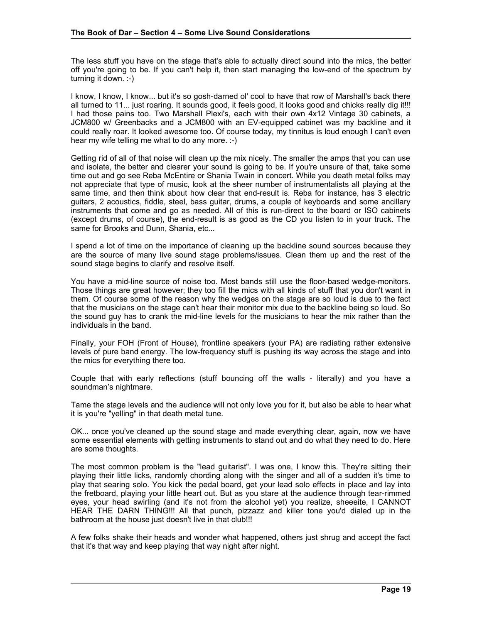The less stuff you have on the stage that's able to actually direct sound into the mics, the better off you're going to be. If you can't help it, then start managing the low-end of the spectrum by turning it down. :-)

I know, I know, I know... but it's so gosh-darned ol' cool to have that row of Marshall's back there all turned to 11... just roaring. It sounds good, it feels good, it looks good and chicks really dig it!!! I had those pains too. Two Marshall Plexi's, each with their own 4x12 Vintage 30 cabinets, a JCM800 w/ Greenbacks and a JCM800 with an EV-equipped cabinet was my backline and it could really roar. It looked awesome too. Of course today, my tinnitus is loud enough I can't even hear my wife telling me what to do any more. :-)

Getting rid of all of that noise will clean up the mix nicely. The smaller the amps that you can use and isolate, the better and clearer your sound is going to be. If you're unsure of that, take some time out and go see Reba McEntire or Shania Twain in concert. While you death metal folks may not appreciate that type of music, look at the sheer number of instrumentalists all playing at the same time, and then think about how clear that end-result is. Reba for instance, has 3 electric guitars, 2 acoustics, fiddle, steel, bass guitar, drums, a couple of keyboards and some ancillary instruments that come and go as needed. All of this is run-direct to the board or ISO cabinets (except drums, of course), the end-result is as good as the CD you listen to in your truck. The same for Brooks and Dunn, Shania, etc...

I spend a lot of time on the importance of cleaning up the backline sound sources because they are the source of many live sound stage problems/issues. Clean them up and the rest of the sound stage begins to clarify and resolve itself.

You have a mid-line source of noise too. Most bands still use the floor-based wedge-monitors. Those things are great however; they too fill the mics with all kinds of stuff that you don't want in them. Of course some of the reason why the wedges on the stage are so loud is due to the fact that the musicians on the stage can't hear their monitor mix due to the backline being so loud. So the sound guy has to crank the mid-line levels for the musicians to hear the mix rather than the individuals in the band.

Finally, your FOH (Front of House), frontline speakers (your PA) are radiating rather extensive levels of pure band energy. The low-frequency stuff is pushing its way across the stage and into the mics for everything there too.

Couple that with early reflections (stuff bouncing off the walls - literally) and you have a soundman's nightmare.

Tame the stage levels and the audience will not only love you for it, but also be able to hear what it is you're "yelling" in that death metal tune.

OK... once you've cleaned up the sound stage and made everything clear, again, now we have some essential elements with getting instruments to stand out and do what they need to do. Here are some thoughts.

The most common problem is the "lead guitarist". I was one, I know this. They're sitting their playing their little licks, randomly chording along with the singer and all of a sudden it's time to play that searing solo. You kick the pedal board, get your lead solo effects in place and lay into the fretboard, playing your little heart out. But as you stare at the audience through tear-rimmed eyes, your head swirling (and it's not from the alcohol yet) you realize, sheeeite, I CANNOT HEAR THE DARN THING!!! All that punch, pizzazz and killer tone you'd dialed up in the bathroom at the house just doesn't live in that club!!!

A few folks shake their heads and wonder what happened, others just shrug and accept the fact that it's that way and keep playing that way night after night.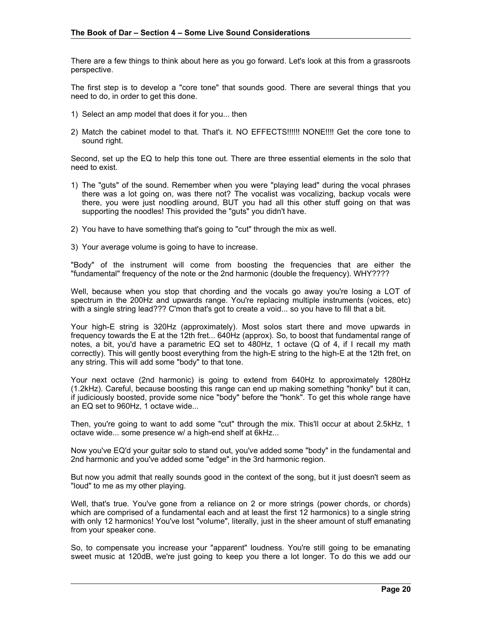There are a few things to think about here as you go forward. Let's look at this from a grassroots perspective.

The first step is to develop a "core tone" that sounds good. There are several things that you need to do, in order to get this done.

- 1) Select an amp model that does it for you... then
- 2) Match the cabinet model to that. That's it. NO EFFECTS!!!!!! NONE!!!! Get the core tone to sound right.

Second, set up the EQ to help this tone out. There are three essential elements in the solo that need to exist.

- 1) The "guts" of the sound. Remember when you were "playing lead" during the vocal phrases there was a lot going on, was there not? The vocalist was vocalizing, backup vocals were there, you were just noodling around, BUT you had all this other stuff going on that was supporting the noodles! This provided the "guts" you didn't have.
- 2) You have to have something that's going to "cut" through the mix as well.
- 3) Your average volume is going to have to increase.

"Body" of the instrument will come from boosting the frequencies that are either the "fundamental" frequency of the note or the 2nd harmonic (double the frequency). WHY????

Well, because when you stop that chording and the vocals go away you're losing a LOT of spectrum in the 200Hz and upwards range. You're replacing multiple instruments (voices, etc) with a single string lead??? C'mon that's got to create a void... so you have to fill that a bit.

Your high-E string is 320Hz (approximately). Most solos start there and move upwards in frequency towards the E at the 12th fret... 640Hz (approx). So, to boost that fundamental range of notes, a bit, you'd have a parametric EQ set to 480Hz, 1 octave (Q of 4, if I recall my math correctly). This will gently boost everything from the high-E string to the high-E at the 12th fret, on any string. This will add some "body" to that tone.

Your next octave (2nd harmonic) is going to extend from 640Hz to approximately 1280Hz (1.2kHz). Careful, because boosting this range can end up making something "honky" but it can, if judiciously boosted, provide some nice "body" before the "honk". To get this whole range have an EQ set to 960Hz, 1 octave wide...

Then, you're going to want to add some "cut" through the mix. This'll occur at about 2.5kHz, 1 octave wide... some presence w/ a high-end shelf at 6kHz...

Now you've EQ'd your guitar solo to stand out, you've added some "body" in the fundamental and 2nd harmonic and you've added some "edge" in the 3rd harmonic region.

But now you admit that really sounds good in the context of the song, but it just doesn't seem as "loud" to me as my other playing.

Well, that's true. You've gone from a reliance on 2 or more strings (power chords, or chords) which are comprised of a fundamental each and at least the first 12 harmonics) to a single string with only 12 harmonics! You've lost "volume", literally, just in the sheer amount of stuff emanating from your speaker cone.

So, to compensate you increase your "apparent" loudness. You're still going to be emanating sweet music at 120dB, we're just going to keep you there a lot longer. To do this we add our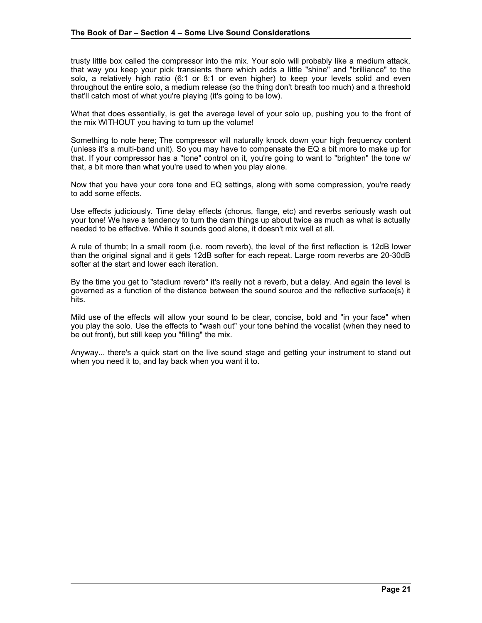trusty little box called the compressor into the mix. Your solo will probably like a medium attack, that way you keep your pick transients there which adds a little "shine" and "brilliance" to the solo, a relatively high ratio (6:1 or 8:1 or even higher) to keep your levels solid and even throughout the entire solo, a medium release (so the thing don't breath too much) and a threshold that'll catch most of what you're playing (it's going to be low).

What that does essentially, is get the average level of your solo up, pushing you to the front of the mix WITHOUT you having to turn up the volume!

Something to note here; The compressor will naturally knock down your high frequency content (unless it's a multi-band unit). So you may have to compensate the EQ a bit more to make up for that. If your compressor has a "tone" control on it, you're going to want to "brighten" the tone w/ that, a bit more than what you're used to when you play alone.

Now that you have your core tone and EQ settings, along with some compression, you're ready to add some effects.

Use effects judiciously. Time delay effects (chorus, flange, etc) and reverbs seriously wash out your tone! We have a tendency to turn the darn things up about twice as much as what is actually needed to be effective. While it sounds good alone, it doesn't mix well at all.

A rule of thumb; In a small room (i.e. room reverb), the level of the first reflection is 12dB lower than the original signal and it gets 12dB softer for each repeat. Large room reverbs are 20-30dB softer at the start and lower each iteration.

By the time you get to "stadium reverb" it's really not a reverb, but a delay. And again the level is governed as a function of the distance between the sound source and the reflective surface(s) it hits.

Mild use of the effects will allow your sound to be clear, concise, bold and "in your face" when you play the solo. Use the effects to "wash out" your tone behind the vocalist (when they need to be out front), but still keep you "filling" the mix.

Anyway... there's a quick start on the live sound stage and getting your instrument to stand out when you need it to, and lay back when you want it to.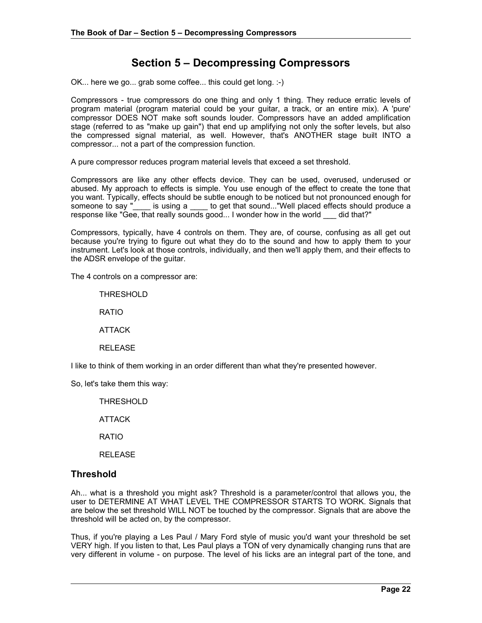# **Section 5 – Decompressing Compressors**

OK... here we go... grab some coffee... this could get long. :-)

Compressors - true compressors do one thing and only 1 thing. They reduce erratic levels of program material (program material could be your guitar, a track, or an entire mix). A 'pure' compressor DOES NOT make soft sounds louder. Compressors have an added amplification stage (referred to as "make up gain") that end up amplifying not only the softer levels, but also the compressed signal material, as well. However, that's ANOTHER stage built INTO a compressor... not a part of the compression function.

A pure compressor reduces program material levels that exceed a set threshold.

Compressors are like any other effects device. They can be used, overused, underused or abused. My approach to effects is simple. You use enough of the effect to create the tone that you want. Typically, effects should be subtle enough to be noticed but not pronounced enough for someone to say " is using a to get that sound..."Well placed effects should produce a is using a \_\_\_\_ to get that sound..."Well placed effects should produce a response like "Gee, that really sounds good... I wonder how in the world \_\_\_ did that?"

Compressors, typically, have 4 controls on them. They are, of course, confusing as all get out because you're trying to figure out what they do to the sound and how to apply them to your instrument. Let's look at those controls, individually, and then we'll apply them, and their effects to the ADSR envelope of the guitar.

The 4 controls on a compressor are:

THRESHOLD

RATIO

ATTACK

RELEASE

I like to think of them working in an order different than what they're presented however.

So, let's take them this way:

THRESHOLD

ATTACK

RATIO

RELEASE

### **Threshold**

Ah... what is a threshold you might ask? Threshold is a parameter/control that allows you, the user to DETERMINE AT WHAT LEVEL THE COMPRESSOR STARTS TO WORK. Signals that are below the set threshold WILL NOT be touched by the compressor. Signals that are above the threshold will be acted on, by the compressor.

Thus, if you're playing a Les Paul / Mary Ford style of music you'd want your threshold be set VERY high. If you listen to that, Les Paul plays a TON of very dynamically changing runs that are very different in volume - on purpose. The level of his licks are an integral part of the tone, and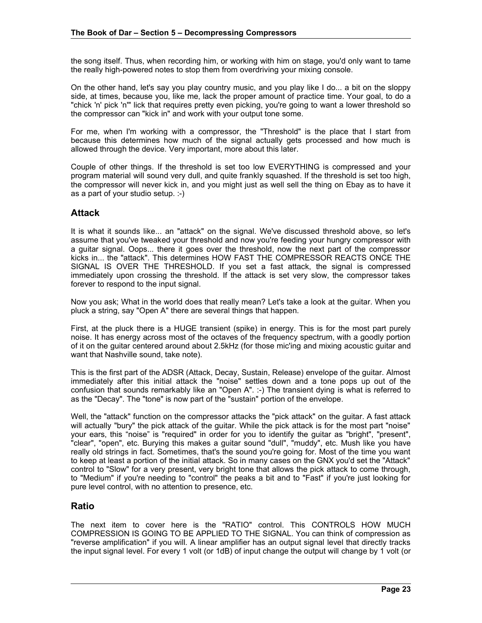the song itself. Thus, when recording him, or working with him on stage, you'd only want to tame the really high-powered notes to stop them from overdriving your mixing console.

On the other hand, let's say you play country music, and you play like I do... a bit on the sloppy side, at times, because you, like me, lack the proper amount of practice time. Your goal, to do a "chick 'n' pick 'n'" lick that requires pretty even picking, you're going to want a lower threshold so the compressor can "kick in" and work with your output tone some.

For me, when I'm working with a compressor, the "Threshold" is the place that I start from because this determines how much of the signal actually gets processed and how much is allowed through the device. Very important, more about this later.

Couple of other things. If the threshold is set too low EVERYTHING is compressed and your program material will sound very dull, and quite frankly squashed. If the threshold is set too high, the compressor will never kick in, and you might just as well sell the thing on Ebay as to have it as a part of your studio setup. :-)

## **Attack**

It is what it sounds like... an "attack" on the signal. We've discussed threshold above, so let's assume that you've tweaked your threshold and now you're feeding your hungry compressor with a guitar signal. Oops... there it goes over the threshold, now the next part of the compressor kicks in... the "attack". This determines HOW FAST THE COMPRESSOR REACTS ONCE THE SIGNAL IS OVER THE THRESHOLD. If you set a fast attack, the signal is compressed immediately upon crossing the threshold. If the attack is set very slow, the compressor takes forever to respond to the input signal.

Now you ask; What in the world does that really mean? Let's take a look at the guitar. When you pluck a string, say "Open A" there are several things that happen.

First, at the pluck there is a HUGE transient (spike) in energy. This is for the most part purely noise. It has energy across most of the octaves of the frequency spectrum, with a goodly portion of it on the guitar centered around about 2.5kHz (for those mic'ing and mixing acoustic guitar and want that Nashville sound, take note).

This is the first part of the ADSR (Attack, Decay, Sustain, Release) envelope of the guitar. Almost immediately after this initial attack the "noise" settles down and a tone pops up out of the confusion that sounds remarkably like an "Open A". :-) The transient dying is what is referred to as the "Decay". The "tone" is now part of the "sustain" portion of the envelope.

Well, the "attack" function on the compressor attacks the "pick attack" on the guitar. A fast attack will actually "bury" the pick attack of the guitar. While the pick attack is for the most part "noise" your ears, this "noise" is "required" in order for you to identify the guitar as "bright", "present", "clear", "open", etc. Burying this makes a guitar sound "dull", "muddy", etc. Mush like you have really old strings in fact. Sometimes, that's the sound you're going for. Most of the time you want to keep at least a portion of the initial attack. So in many cases on the GNX you'd set the "Attack" control to "Slow" for a very present, very bright tone that allows the pick attack to come through, to "Medium" if you're needing to "control" the peaks a bit and to "Fast" if you're just looking for pure level control, with no attention to presence, etc.

# **Ratio**

The next item to cover here is the "RATIO" control. This CONTROLS HOW MUCH COMPRESSION IS GOING TO BE APPLIED TO THE SIGNAL. You can think of compression as "reverse amplification" if you will. A linear amplifier has an output signal level that directly tracks the input signal level. For every 1 volt (or 1dB) of input change the output will change by 1 volt (or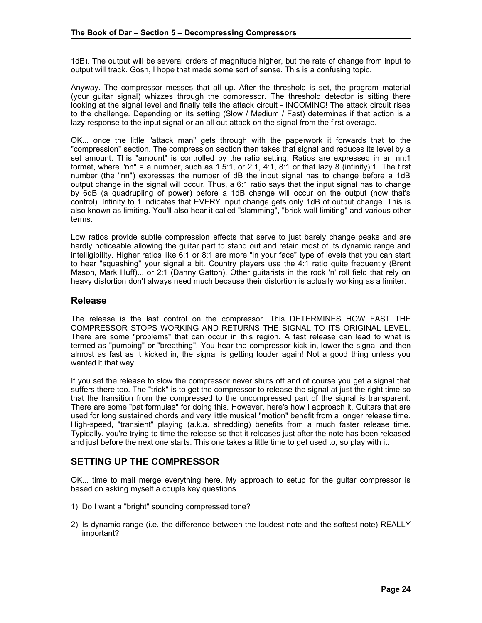1dB). The output will be several orders of magnitude higher, but the rate of change from input to output will track. Gosh, I hope that made some sort of sense. This is a confusing topic.

Anyway. The compressor messes that all up. After the threshold is set, the program material (your guitar signal) whizzes through the compressor. The threshold detector is sitting there looking at the signal level and finally tells the attack circuit - INCOMING! The attack circuit rises to the challenge. Depending on its setting (Slow / Medium / Fast) determines if that action is a lazy response to the input signal or an all out attack on the signal from the first overage.

OK... once the little "attack man" gets through with the paperwork it forwards that to the "compression" section. The compression section then takes that signal and reduces its level by a set amount. This "amount" is controlled by the ratio setting. Ratios are expressed in an nn:1 format, where "nn" = a number, such as 1.5:1, or 2:1, 4:1, 8:1 or that lazy 8 (infinity):1. The first number (the "nn") expresses the number of dB the input signal has to change before a 1dB output change in the signal will occur. Thus, a 6:1 ratio says that the input signal has to change by 6dB (a quadrupling of power) before a 1dB change will occur on the output (now that's control). Infinity to 1 indicates that EVERY input change gets only 1dB of output change. This is also known as limiting. You'll also hear it called "slamming", "brick wall limiting" and various other terms.

Low ratios provide subtle compression effects that serve to just barely change peaks and are hardly noticeable allowing the guitar part to stand out and retain most of its dynamic range and intelligibility. Higher ratios like 6:1 or 8:1 are more "in your face" type of levels that you can start to hear "squashing" your signal a bit. Country players use the 4:1 ratio quite frequently (Brent Mason, Mark Huff)... or 2:1 (Danny Gatton). Other guitarists in the rock 'n' roll field that rely on heavy distortion don't always need much because their distortion is actually working as a limiter.

### **Release**

The release is the last control on the compressor. This DETERMINES HOW FAST THE COMPRESSOR STOPS WORKING AND RETURNS THE SIGNAL TO ITS ORIGINAL LEVEL. There are some "problems" that can occur in this region. A fast release can lead to what is termed as "pumping" or "breathing". You hear the compressor kick in, lower the signal and then almost as fast as it kicked in, the signal is getting louder again! Not a good thing unless you wanted it that way.

If you set the release to slow the compressor never shuts off and of course you get a signal that suffers there too. The "trick" is to get the compressor to release the signal at just the right time so that the transition from the compressed to the uncompressed part of the signal is transparent. There are some "pat formulas" for doing this. However, here's how I approach it. Guitars that are used for long sustained chords and very little musical "motion" benefit from a longer release time. High-speed, "transient" playing (a.k.a. shredding) benefits from a much faster release time. Typically, you're trying to time the release so that it releases just after the note has been released and just before the next one starts. This one takes a little time to get used to, so play with it.

# **SETTING UP THE COMPRESSOR**

OK... time to mail merge everything here. My approach to setup for the guitar compressor is based on asking myself a couple key questions.

- 1) Do I want a "bright" sounding compressed tone?
- 2) Is dynamic range (i.e. the difference between the loudest note and the softest note) REALLY important?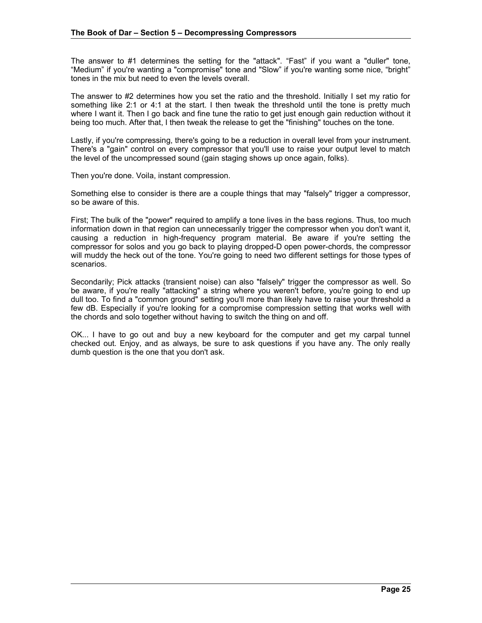The answer to #1 determines the setting for the "attack". "Fast" if you want a "duller" tone, "Medium" if you're wanting a "compromise" tone and "Slow" if you're wanting some nice, "bright" tones in the mix but need to even the levels overall.

The answer to #2 determines how you set the ratio and the threshold. Initially I set my ratio for something like 2:1 or 4:1 at the start. I then tweak the threshold until the tone is pretty much where I want it. Then I go back and fine tune the ratio to get just enough gain reduction without it being too much. After that, I then tweak the release to get the "finishing" touches on the tone.

Lastly, if you're compressing, there's going to be a reduction in overall level from your instrument. There's a "gain" control on every compressor that you'll use to raise your output level to match the level of the uncompressed sound (gain staging shows up once again, folks).

Then you're done. Voila, instant compression.

Something else to consider is there are a couple things that may "falsely" trigger a compressor, so be aware of this.

First; The bulk of the "power" required to amplify a tone lives in the bass regions. Thus, too much information down in that region can unnecessarily trigger the compressor when you don't want it, causing a reduction in high-frequency program material. Be aware if you're setting the compressor for solos and you go back to playing dropped-D open power-chords, the compressor will muddy the heck out of the tone. You're going to need two different settings for those types of scenarios.

Secondarily; Pick attacks (transient noise) can also "falsely" trigger the compressor as well. So be aware, if you're really "attacking" a string where you weren't before, you're going to end up dull too. To find a "common ground" setting you'll more than likely have to raise your threshold a few dB. Especially if you're looking for a compromise compression setting that works well with the chords and solo together without having to switch the thing on and off.

OK... I have to go out and buy a new keyboard for the computer and get my carpal tunnel checked out. Enjoy, and as always, be sure to ask questions if you have any. The only really dumb question is the one that you don't ask.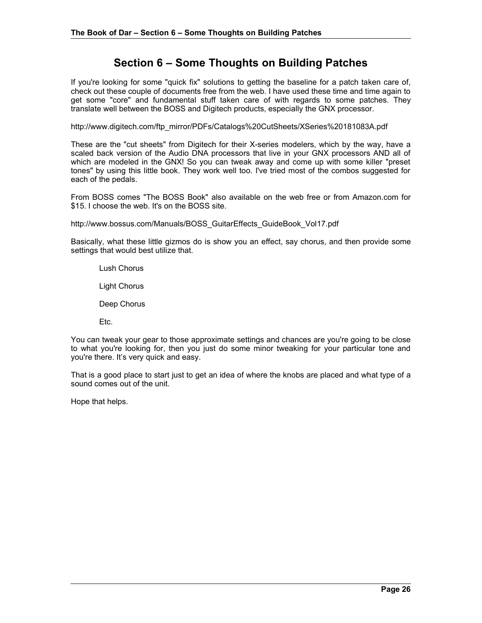# **Section 6 – Some Thoughts on Building Patches**

If you're looking for some "quick fix" solutions to getting the baseline for a patch taken care of, check out these couple of documents free from the web. I have used these time and time again to get some "core" and fundamental stuff taken care of with regards to some patches. They translate well between the BOSS and Digitech products, especially the GNX processor.

http://www.digitech.com/ftp\_mirror/PDFs/Catalogs%20CutSheets/XSeries%20181083A.pdf

These are the "cut sheets" from Digitech for their X-series modelers, which by the way, have a scaled back version of the Audio DNA processors that live in your GNX processors AND all of which are modeled in the GNX! So you can tweak away and come up with some killer "preset tones" by using this little book. They work well too. I've tried most of the combos suggested for each of the pedals.

From BOSS comes "The BOSS Book" also available on the web free or from Amazon.com for \$15. I choose the web. It's on the BOSS site.

http://www.bossus.com/Manuals/BOSS\_GuitarEffects\_GuideBook\_Vol17.pdf

Basically, what these little gizmos do is show you an effect, say chorus, and then provide some settings that would best utilize that.

Lush Chorus

Light Chorus

Deep Chorus

Etc.

You can tweak your gear to those approximate settings and chances are you're going to be close to what you're looking for, then you just do some minor tweaking for your particular tone and you're there. It's very quick and easy.

That is a good place to start just to get an idea of where the knobs are placed and what type of a sound comes out of the unit.

Hope that helps.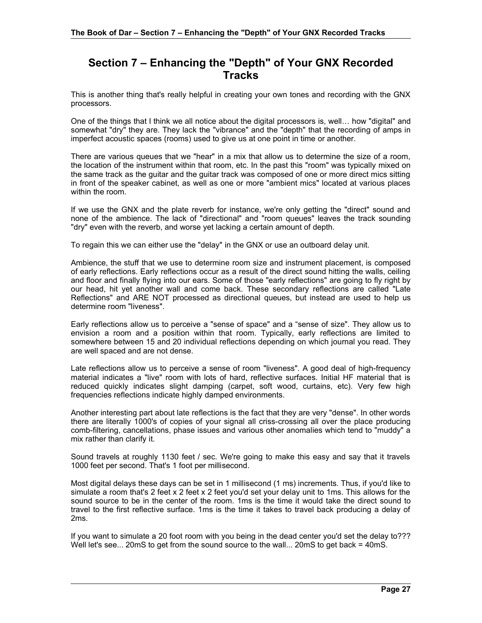# **Section 7 – Enhancing the "Depth" of Your GNX Recorded Tracks**

This is another thing that's really helpful in creating your own tones and recording with the GNX processors.

One of the things that I think we all notice about the digital processors is, well… how "digital" and somewhat "dry" they are. They lack the "vibrance" and the "depth" that the recording of amps in imperfect acoustic spaces (rooms) used to give us at one point in time or another.

There are various queues that we "hear" in a mix that allow us to determine the size of a room, the location of the instrument within that room, etc. In the past this "room" was typically mixed on the same track as the guitar and the guitar track was composed of one or more direct mics sitting in front of the speaker cabinet, as well as one or more "ambient mics" located at various places within the room.

If we use the GNX and the plate reverb for instance, we're only getting the "direct" sound and none of the ambience. The lack of "directional" and "room queues" leaves the track sounding "dry" even with the reverb, and worse yet lacking a certain amount of depth.

To regain this we can either use the "delay" in the GNX or use an outboard delay unit.

Ambience, the stuff that we use to determine room size and instrument placement, is composed of early reflections. Early reflections occur as a result of the direct sound hitting the walls, ceiling and floor and finally flying into our ears. Some of those "early reflections" are going to fly right by our head, hit yet another wall and come back. These secondary reflections are called "Late Reflections" and ARE NOT processed as directional queues, but instead are used to help us determine room "liveness".

Early reflections allow us to perceive a "sense of space" and a "sense of size". They allow us to envision a room and a position within that room. Typically, early reflections are limited to somewhere between 15 and 20 individual reflections depending on which journal you read. They are well spaced and are not dense.

Late reflections allow us to perceive a sense of room "liveness". A good deal of high-frequency material indicates a "live" room with lots of hard, reflective surfaces. Initial HF material that is reduced quickly indicates slight damping (carpet, soft wood, curtains, etc). Very few high frequencies reflections indicate highly damped environments.

Another interesting part about late reflections is the fact that they are very "dense". In other words there are literally 1000's of copies of your signal all criss-crossing all over the place producing comb-filtering, cancellations, phase issues and various other anomalies which tend to "muddy" a mix rather than clarify it.

Sound travels at roughly 1130 feet / sec. We're going to make this easy and say that it travels 1000 feet per second. That's 1 foot per millisecond.

Most digital delays these days can be set in 1 millisecond (1 ms) increments. Thus, if you'd like to simulate a room that's 2 feet x 2 feet x 2 feet you'd set your delay unit to 1ms. This allows for the sound source to be in the center of the room. 1ms is the time it would take the direct sound to travel to the first reflective surface. 1ms is the time it takes to travel back producing a delay of 2ms.

If you want to simulate a 20 foot room with you being in the dead center you'd set the delay to??? Well let's see... 20mS to get from the sound source to the wall... 20mS to get back = 40mS.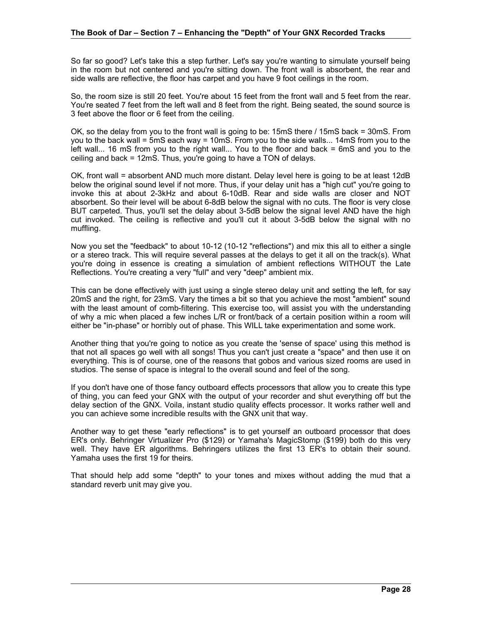So far so good? Let's take this a step further. Let's say you're wanting to simulate yourself being in the room but not centered and you're sitting down. The front wall is absorbent, the rear and side walls are reflective, the floor has carpet and you have 9 foot ceilings in the room.

So, the room size is still 20 feet. You're about 15 feet from the front wall and 5 feet from the rear. You're seated 7 feet from the left wall and 8 feet from the right. Being seated, the sound source is 3 feet above the floor or 6 feet from the ceiling.

OK, so the delay from you to the front wall is going to be: 15mS there / 15mS back = 30mS. From you to the back wall = 5mS each way = 10mS. From you to the side walls... 14mS from you to the left wall... 16 mS from you to the right wall... You to the floor and back = 6mS and you to the ceiling and back = 12mS. Thus, you're going to have a TON of delays.

OK, front wall = absorbent AND much more distant. Delay level here is going to be at least 12dB below the original sound level if not more. Thus, if your delay unit has a "high cut" you're going to invoke this at about 2-3kHz and about 6-10dB. Rear and side walls are closer and NOT absorbent. So their level will be about 6-8dB below the signal with no cuts. The floor is very close BUT carpeted. Thus, you'll set the delay about 3-5dB below the signal level AND have the high cut invoked. The ceiling is reflective and you'll cut it about 3-5dB below the signal with no muffling.

Now you set the "feedback" to about 10-12 (10-12 "reflections") and mix this all to either a single or a stereo track. This will require several passes at the delays to get it all on the track(s). What you're doing in essence is creating a simulation of ambient reflections WITHOUT the Late Reflections. You're creating a very "full" and very "deep" ambient mix.

This can be done effectively with just using a single stereo delay unit and setting the left, for say 20mS and the right, for 23mS. Vary the times a bit so that you achieve the most "ambient" sound with the least amount of comb-filtering. This exercise too, will assist you with the understanding of why a mic when placed a few inches L/R or front/back of a certain position within a room will either be "in-phase" or horribly out of phase. This WILL take experimentation and some work.

Another thing that you're going to notice as you create the 'sense of space' using this method is that not all spaces go well with all songs! Thus you can't just create a "space" and then use it on everything. This is of course, one of the reasons that gobos and various sized rooms are used in studios. The sense of space is integral to the overall sound and feel of the song.

If you don't have one of those fancy outboard effects processors that allow you to create this type of thing, you can feed your GNX with the output of your recorder and shut everything off but the delay section of the GNX. Voila, instant studio quality effects processor. It works rather well and you can achieve some incredible results with the GNX unit that way.

Another way to get these "early reflections" is to get yourself an outboard processor that does ER's only. Behringer Virtualizer Pro (\$129) or Yamaha's MagicStomp (\$199) both do this very well. They have ER algorithms. Behringers utilizes the first 13 ER's to obtain their sound. Yamaha uses the first 19 for theirs.

That should help add some "depth" to your tones and mixes without adding the mud that a standard reverb unit may give you.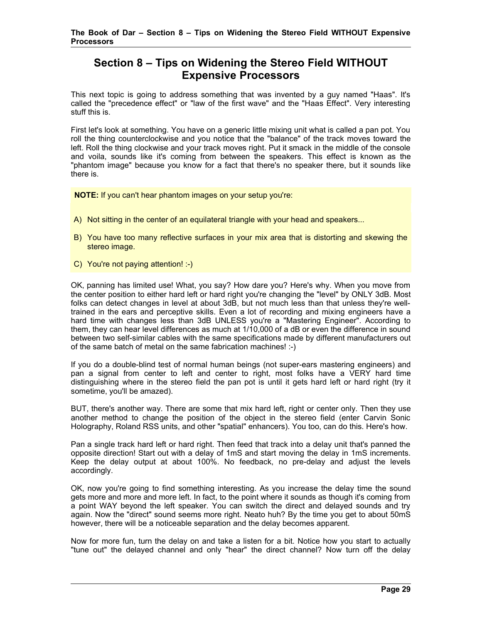# **Section 8 – Tips on Widening the Stereo Field WITHOUT Expensive Processors**

This next topic is going to address something that was invented by a guy named "Haas". It's called the "precedence effect" or "law of the first wave" and the "Haas Effect". Very interesting stuff this is.

First let's look at something. You have on a generic little mixing unit what is called a pan pot. You roll the thing counterclockwise and you notice that the "balance" of the track moves toward the left. Roll the thing clockwise and your track moves right. Put it smack in the middle of the console and voila, sounds like it's coming from between the speakers. This effect is known as the "phantom image" because you know for a fact that there's no speaker there, but it sounds like there is.

**NOTE:** If you can't hear phantom images on your setup you're:

- A) Not sitting in the center of an equilateral triangle with your head and speakers...
- B) You have too many reflective surfaces in your mix area that is distorting and skewing the stereo image.
- C) You're not paying attention! :-)

OK, panning has limited use! What, you say? How dare you? Here's why. When you move from the center position to either hard left or hard right you're changing the "level" by ONLY 3dB. Most folks can detect changes in level at about 3dB, but not much less than that unless they're welltrained in the ears and perceptive skills. Even a lot of recording and mixing engineers have a hard time with changes less than 3dB UNLESS you're a "Mastering Engineer". According to them, they can hear level differences as much at 1/10,000 of a dB or even the difference in sound between two self-similar cables with the same specifications made by different manufacturers out of the same batch of metal on the same fabrication machines! :-)

If you do a double-blind test of normal human beings (not super-ears mastering engineers) and pan a signal from center to left and center to right, most folks have a VERY hard time distinguishing where in the stereo field the pan pot is until it gets hard left or hard right (try it sometime, you'll be amazed).

BUT, there's another way. There are some that mix hard left, right or center only. Then they use another method to change the position of the object in the stereo field (enter Carvin Sonic Holography, Roland RSS units, and other "spatial" enhancers). You too, can do this. Here's how.

Pan a single track hard left or hard right. Then feed that track into a delay unit that's panned the opposite direction! Start out with a delay of 1mS and start moving the delay in 1mS increments. Keep the delay output at about 100%. No feedback, no pre-delay and adjust the levels accordingly.

OK, now you're going to find something interesting. As you increase the delay time the sound gets more and more and more left. In fact, to the point where it sounds as though it's coming from a point WAY beyond the left speaker. You can switch the direct and delayed sounds and try again. Now the "direct" sound seems more right. Neato huh? By the time you get to about 50mS however, there will be a noticeable separation and the delay becomes apparent.

Now for more fun, turn the delay on and take a listen for a bit. Notice how you start to actually "tune out" the delayed channel and only "hear" the direct channel? Now turn off the delay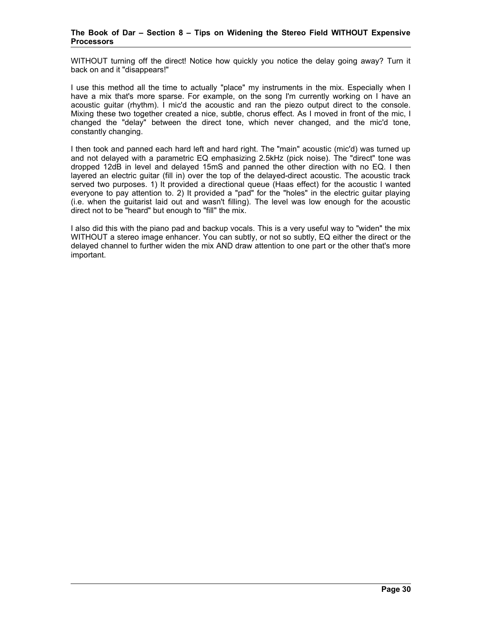#### **The Book of Dar – Section 8 – Tips on Widening the Stereo Field WITHOUT Expensive Processors**

WITHOUT turning off the direct! Notice how quickly you notice the delay going away? Turn it back on and it "disappears!"

I use this method all the time to actually "place" my instruments in the mix. Especially when I have a mix that's more sparse. For example, on the song I'm currently working on I have an acoustic guitar (rhythm). I mic'd the acoustic and ran the piezo output direct to the console. Mixing these two together created a nice, subtle, chorus effect. As I moved in front of the mic, I changed the "delay" between the direct tone, which never changed, and the mic'd tone, constantly changing.

I then took and panned each hard left and hard right. The "main" acoustic (mic'd) was turned up and not delayed with a parametric EQ emphasizing 2.5kHz (pick noise). The "direct" tone was dropped 12dB in level and delayed 15mS and panned the other direction with no EQ. I then layered an electric guitar (fill in) over the top of the delayed-direct acoustic. The acoustic track served two purposes. 1) It provided a directional queue (Haas effect) for the acoustic I wanted everyone to pay attention to. 2) It provided a "pad" for the "holes" in the electric guitar playing (i.e. when the guitarist laid out and wasn't filling). The level was low enough for the acoustic direct not to be "heard" but enough to "fill" the mix.

I also did this with the piano pad and backup vocals. This is a very useful way to "widen" the mix WITHOUT a stereo image enhancer. You can subtly, or not so subtly, EQ either the direct or the delayed channel to further widen the mix AND draw attention to one part or the other that's more important.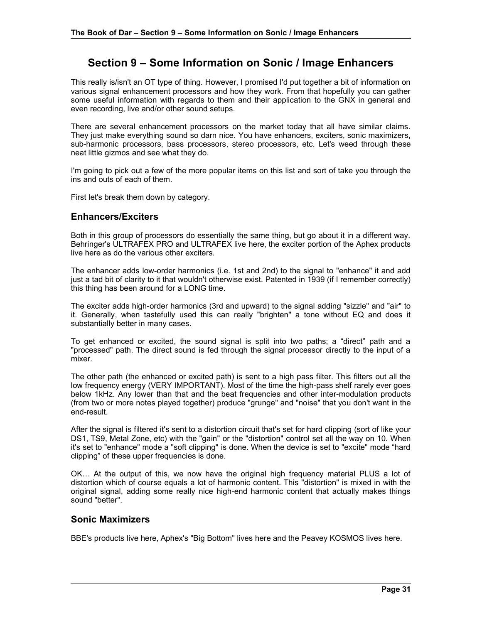# **Section 9 – Some Information on Sonic / Image Enhancers**

This really is/isn't an OT type of thing. However, I promised I'd put together a bit of information on various signal enhancement processors and how they work. From that hopefully you can gather some useful information with regards to them and their application to the GNX in general and even recording, live and/or other sound setups.

There are several enhancement processors on the market today that all have similar claims. They just make everything sound so darn nice. You have enhancers, exciters, sonic maximizers, sub-harmonic processors, bass processors, stereo processors, etc. Let's weed through these neat little gizmos and see what they do.

I'm going to pick out a few of the more popular items on this list and sort of take you through the ins and outs of each of them.

First let's break them down by category.

### **Enhancers/Exciters**

Both in this group of processors do essentially the same thing, but go about it in a different way. Behringer's ULTRAFEX PRO and ULTRAFEX live here, the exciter portion of the Aphex products live here as do the various other exciters.

The enhancer adds low-order harmonics (i.e. 1st and 2nd) to the signal to "enhance" it and add just a tad bit of clarity to it that wouldn't otherwise exist. Patented in 1939 (if I remember correctly) this thing has been around for a LONG time.

The exciter adds high-order harmonics (3rd and upward) to the signal adding "sizzle" and "air" to it. Generally, when tastefully used this can really "brighten" a tone without EQ and does it substantially better in many cases.

To get enhanced or excited, the sound signal is split into two paths; a "direct" path and a "processed" path. The direct sound is fed through the signal processor directly to the input of a mixer.

The other path (the enhanced or excited path) is sent to a high pass filter. This filters out all the low frequency energy (VERY IMPORTANT). Most of the time the high-pass shelf rarely ever goes below 1kHz. Any lower than that and the beat frequencies and other inter-modulation products (from two or more notes played together) produce "grunge" and "noise" that you don't want in the end-result.

After the signal is filtered it's sent to a distortion circuit that's set for hard clipping (sort of like your DS1, TS9, Metal Zone, etc) with the "gain" or the "distortion" control set all the way on 10. When it's set to "enhance" mode a "soft clipping" is done. When the device is set to "excite" mode "hard clipping" of these upper frequencies is done.

OK… At the output of this, we now have the original high frequency material PLUS a lot of distortion which of course equals a lot of harmonic content. This "distortion" is mixed in with the original signal, adding some really nice high-end harmonic content that actually makes things sound "better".

### **Sonic Maximizers**

BBE's products live here, Aphex's "Big Bottom" lives here and the Peavey KOSMOS lives here.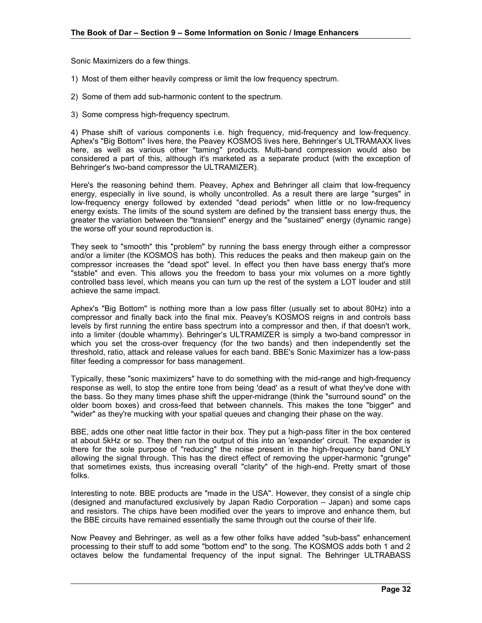Sonic Maximizers do a few things.

- 1) Most of them either heavily compress or limit the low frequency spectrum.
- 2) Some of them add sub-harmonic content to the spectrum.
- 3) Some compress high-frequency spectrum.

4) Phase shift of various components i.e. high frequency, mid-frequency and low-frequency. Aphex's "Big Bottom" lives here, the Peavey KOSMOS lives here, Behringer's ULTRAMAXX lives here, as well as various other "taming" products. Multi-band compression would also be considered a part of this, although it's marketed as a separate product (with the exception of Behringer's two-band compressor the ULTRAMIZER).

Here's the reasoning behind them. Peavey, Aphex and Behringer all claim that low-frequency energy, especially in live sound, is wholly uncontrolled. As a result there are large "surges" in low-frequency energy followed by extended "dead periods" when little or no low-frequency energy exists. The limits of the sound system are defined by the transient bass energy thus, the greater the variation between the "transient" energy and the "sustained" energy (dynamic range) the worse off your sound reproduction is.

They seek to "smooth" this "problem" by running the bass energy through either a compressor and/or a limiter (the KOSMOS has both). This reduces the peaks and then makeup gain on the compressor increases the "dead spot" level. In effect you then have bass energy that's more "stable" and even. This allows you the freedom to bass your mix volumes on a more tightly controlled bass level, which means you can turn up the rest of the system a LOT louder and still achieve the same impact.

Aphex's "Big Bottom" is nothing more than a low pass filter (usually set to about 80Hz) into a compressor and finally back into the final mix. Peavey's KOSMOS reigns in and controls bass levels by first running the entire bass spectrum into a compressor and then, if that doesn't work, into a limiter (double whammy). Behringer's ULTRAMIZER is simply a two-band compressor in which you set the cross-over frequency (for the two bands) and then independently set the threshold, ratio, attack and release values for each band. BBE's Sonic Maximizer has a low-pass filter feeding a compressor for bass management.

Typically, these "sonic maximizers" have to do something with the mid-range and high-frequency response as well, to stop the entire tone from being 'dead' as a result of what they've done with the bass. So they many times phase shift the upper-midrange (think the "surround sound" on the older boom boxes) and cross-feed that between channels. This makes the tone "bigger" and "wider" as they're mucking with your spatial queues and changing their phase on the way.

BBE, adds one other neat little factor in their box. They put a high-pass filter in the box centered at about 5kHz or so. They then run the output of this into an 'expander' circuit. The expander is there for the sole purpose of "reducing" the noise present in the high-frequency band ONLY allowing the signal through. This has the direct effect of removing the upper-harmonic "grunge" that sometimes exists, thus increasing overall "clarity" of the high-end. Pretty smart of those folks.

Interesting to note. BBE products are "made in the USA". However, they consist of a single chip (designed and manufactured exclusively by Japan Radio Corporation – Japan) and some caps and resistors. The chips have been modified over the years to improve and enhance them, but the BBE circuits have remained essentially the same through out the course of their life.

Now Peavey and Behringer, as well as a few other folks have added "sub-bass" enhancement processing to their stuff to add some "bottom end" to the song. The KOSMOS adds both 1 and 2 octaves below the fundamental frequency of the input signal. The Behringer ULTRABASS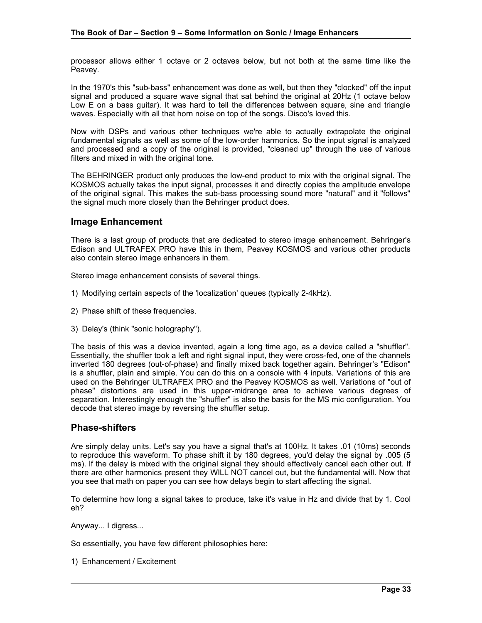processor allows either 1 octave or 2 octaves below, but not both at the same time like the Peavey.

In the 1970's this "sub-bass" enhancement was done as well, but then they "clocked" off the input signal and produced a square wave signal that sat behind the original at 20Hz (1 octave below Low E on a bass guitar). It was hard to tell the differences between square, sine and triangle waves. Especially with all that horn noise on top of the songs. Disco's loved this.

Now with DSPs and various other techniques we're able to actually extrapolate the original fundamental signals as well as some of the low-order harmonics. So the input signal is analyzed and processed and a copy of the original is provided, "cleaned up" through the use of various filters and mixed in with the original tone.

The BEHRINGER product only produces the low-end product to mix with the original signal. The KOSMOS actually takes the input signal, processes it and directly copies the amplitude envelope of the original signal. This makes the sub-bass processing sound more "natural" and it "follows" the signal much more closely than the Behringer product does.

### **Image Enhancement**

There is a last group of products that are dedicated to stereo image enhancement. Behringer's Edison and ULTRAFEX PRO have this in them, Peavey KOSMOS and various other products also contain stereo image enhancers in them.

Stereo image enhancement consists of several things.

- 1) Modifying certain aspects of the 'localization' queues (typically 2-4kHz).
- 2) Phase shift of these frequencies.
- 3) Delay's (think "sonic holography").

The basis of this was a device invented, again a long time ago, as a device called a "shuffler". Essentially, the shuffler took a left and right signal input, they were cross-fed, one of the channels inverted 180 degrees (out-of-phase) and finally mixed back together again. Behringer's "Edison" is a shuffler, plain and simple. You can do this on a console with 4 inputs. Variations of this are used on the Behringer ULTRAFEX PRO and the Peavey KOSMOS as well. Variations of "out of phase" distortions are used in this upper-midrange area to achieve various degrees of separation. Interestingly enough the "shuffler" is also the basis for the MS mic configuration. You decode that stereo image by reversing the shuffler setup.

### **Phase-shifters**

Are simply delay units. Let's say you have a signal that's at 100Hz. It takes .01 (10ms) seconds to reproduce this waveform. To phase shift it by 180 degrees, you'd delay the signal by .005 (5 ms). If the delay is mixed with the original signal they should effectively cancel each other out. If there are other harmonics present they WILL NOT cancel out, but the fundamental will. Now that you see that math on paper you can see how delays begin to start affecting the signal.

To determine how long a signal takes to produce, take it's value in Hz and divide that by 1. Cool eh?

Anyway... I digress...

So essentially, you have few different philosophies here:

1) Enhancement / Excitement